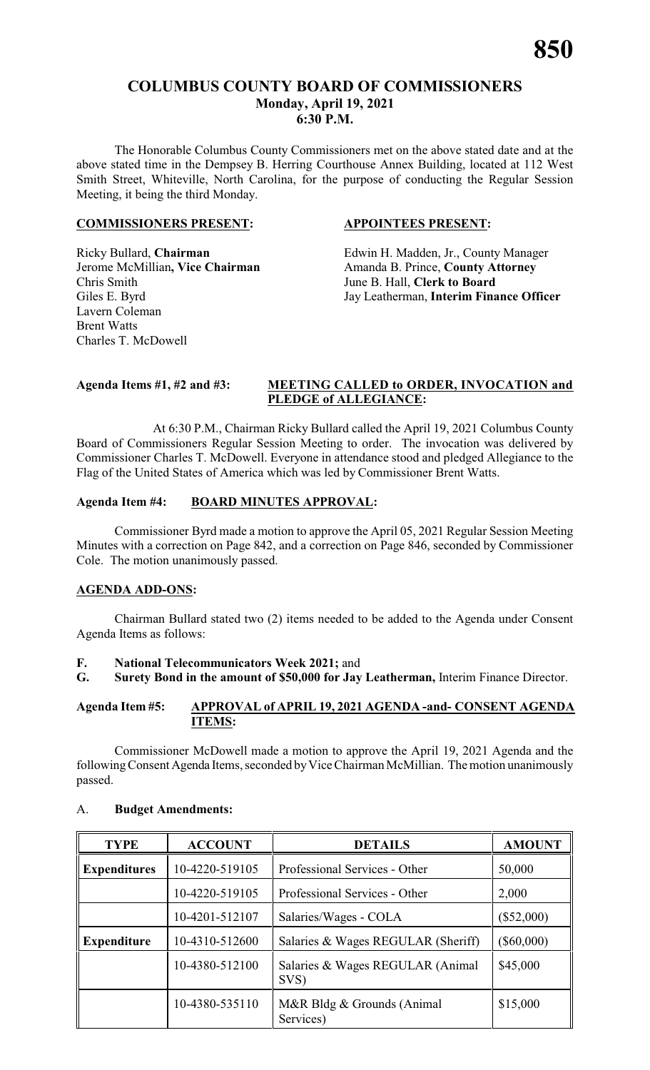# **COLUMBUS COUNTY BOARD OF COMMISSIONERS Monday, April 19, 2021 6:30 P.M.**

The Honorable Columbus County Commissioners met on the above stated date and at the above stated time in the Dempsey B. Herring Courthouse Annex Building, located at 112 West Smith Street, Whiteville, North Carolina, for the purpose of conducting the Regular Session Meeting, it being the third Monday.

# **COMMISSIONERS PRESENT: APPOINTEES PRESENT:**

Chris Smith June B. Hall, **Clerk to Board** Lavern Coleman Brent Watts Charles T. McDowell

Ricky Bullard, **Chairman** Edwin H. Madden, Jr., County Manager Jerome McMillian, Vice Chairman Amanda B. Prince, County Attorney Giles E. Byrd Jay Leatherman, **Interim Finance Officer**

# **Agenda Items #1, #2 and #3: MEETING CALLED to ORDER, INVOCATION and PLEDGE of ALLEGIANCE:**

At 6:30 P.M., Chairman Ricky Bullard called the April 19, 2021 Columbus County Board of Commissioners Regular Session Meeting to order. The invocation was delivered by Commissioner Charles T. McDowell. Everyone in attendance stood and pledged Allegiance to the Flag of the United States of America which was led by Commissioner Brent Watts.

# **Agenda Item #4: BOARD MINUTES APPROVAL:**

Commissioner Byrd made a motion to approve the April 05, 2021 Regular Session Meeting Minutes with a correction on Page 842, and a correction on Page 846, seconded by Commissioner Cole. The motion unanimously passed.

# **AGENDA ADD-ONS:**

Chairman Bullard stated two (2) items needed to be added to the Agenda under Consent Agenda Items as follows:

# **F. National Telecommunicators Week 2021;** and

**G. Surety Bond in the amount of \$50,000 for Jay Leatherman,** Interim Finance Director.

# **Agenda Item #5: APPROVAL of APRIL 19, 2021 AGENDA -and- CONSENT AGENDA ITEMS:**

Commissioner McDowell made a motion to approve the April 19, 2021 Agenda and the following Consent Agenda Items, seconded by Vice Chairman McMillian. The motion unanimously passed.

| <b>TYPE</b>         | <b>ACCOUNT</b> | <b>DETAILS</b>                           | <b>AMOUNT</b> |
|---------------------|----------------|------------------------------------------|---------------|
| <b>Expenditures</b> | 10-4220-519105 | Professional Services - Other            |               |
|                     | 10-4220-519105 | Professional Services - Other            | 2,000         |
|                     | 10-4201-512107 | Salaries/Wages - COLA                    | $(\$52,000)$  |
| <b>Expenditure</b>  | 10-4310-512600 | Salaries & Wages REGULAR (Sheriff)       | $(\$60,000)$  |
|                     | 10-4380-512100 | Salaries & Wages REGULAR (Animal<br>SVS) | \$45,000      |
|                     | 10-4380-535110 | M&R Bldg & Grounds (Animal<br>Services)  | \$15,000      |

# A. **Budget Amendments:**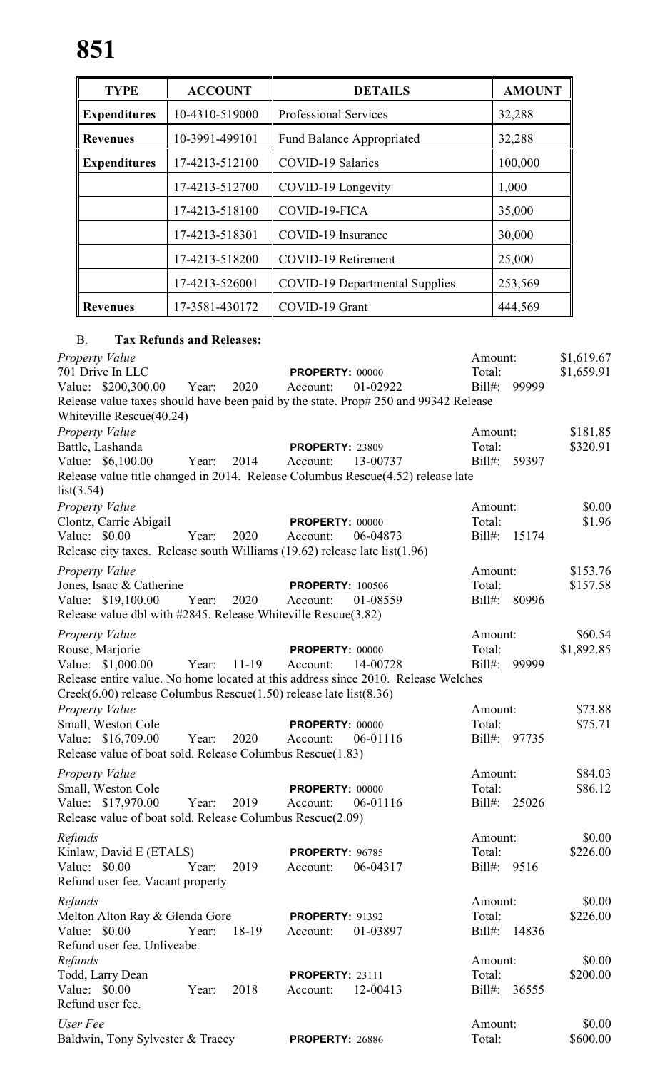| <b>ACCOUNT</b><br><b>TYPE</b> |                | <b>DETAILS</b>                        | <b>AMOUNT</b> |
|-------------------------------|----------------|---------------------------------------|---------------|
| <b>Expenditures</b>           | 10-4310-519000 | <b>Professional Services</b>          | 32,288        |
| <b>Revenues</b>               | 10-3991-499101 | <b>Fund Balance Appropriated</b>      | 32,288        |
| <b>Expenditures</b>           | 17-4213-512100 | <b>COVID-19 Salaries</b>              | 100,000       |
|                               | 17-4213-512700 | COVID-19 Longevity                    | 1,000         |
|                               | 17-4213-518100 | COVID-19-FICA                         | 35,000        |
|                               | 17-4213-518301 | COVID-19 Insurance                    | 30,000        |
| 17-4213-518200                |                | <b>COVID-19 Retirement</b>            | 25,000        |
|                               | 17-4213-526001 | <b>COVID-19 Departmental Supplies</b> | 253,569       |
| <b>Revenues</b>               | 17-3581-430172 | COVID-19 Grant                        | 444,569       |

# B. **Tax Refunds and Releases:**

| <b>Property Value</b><br>701 Drive In LLC<br>Value: \$200,300.00<br>Release value taxes should have been paid by the state. Prop# 250 and 99342 Release                                                                  | Year: | 2020      | <b>PROPERTY: 00000</b><br>Account:  | 01-02922 | Amount:<br>Total:<br>$Bill#$ : | 99999        | \$1,619.67<br>\$1,659.91 |
|--------------------------------------------------------------------------------------------------------------------------------------------------------------------------------------------------------------------------|-------|-----------|-------------------------------------|----------|--------------------------------|--------------|--------------------------|
| Whiteville Rescue(40.24)<br>Property Value<br>Battle, Lashanda<br>Value: \$6,100.00<br>Release value title changed in 2014. Release Columbus Rescue(4.52) release late<br>list(3.54)                                     | Year: | 2014      | <b>PROPERTY: 23809</b><br>Account:  | 13-00737 | Amount:<br>Total:              | Bill#: 59397 | \$181.85<br>\$320.91     |
| <b>Property Value</b><br>Clontz, Carrie Abigail<br>Value: $$0.00$<br>Release city taxes. Release south Williams $(19.62)$ release late list $(1.96)$                                                                     | Year: | 2020      | <b>PROPERTY: 00000</b><br>Account:  | 06-04873 | Amount:<br>Total:              | Bill#: 15174 | \$0.00<br>\$1.96         |
| <b>Property Value</b><br>Jones, Isaac & Catherine<br>Value: \$19,100.00<br>Release value dbl with #2845. Release Whiteville Rescue(3.82)                                                                                 | Year: | 2020      | <b>PROPERTY: 100506</b><br>Account: | 01-08559 | Amount:<br>Total:              | Bill#: 80996 | \$153.76<br>\$157.58     |
| Property Value<br>Rouse, Marjorie<br>Value: \$1,000.00<br>Release entire value. No home located at this address since 2010. Release Welches<br>$Creek(6.00)$ release Columbus Rescue $(1.50)$ release late list $(8.36)$ | Year: | $11 - 19$ | <b>PROPERTY: 00000</b><br>Account:  | 14-00728 | Amount:<br>Total:<br>$Bill#$ : | 99999        | \$60.54<br>\$1,892.85    |
| <b>Property Value</b><br>Small, Weston Cole<br>Value: \$16,709.00<br>Release value of boat sold. Release Columbus Rescue(1.83)                                                                                           | Year: | 2020      | PROPERTY: 00000<br>Account:         | 06-01116 | Amount:<br>Total:              | Bill#: 97735 | \$73.88<br>\$75.71       |
| <b>Property Value</b><br>Small, Weston Cole<br>Value: \$17,970.00<br>Release value of boat sold. Release Columbus Rescue(2.09)                                                                                           | Year: | 2019      | <b>PROPERTY: 00000</b><br>Account:  | 06-01116 | Amount:<br>Total:<br>$Bill#$ : | 25026        | \$84.03<br>\$86.12       |
| Refunds<br>Kinlaw, David E (ETALS)<br>Value: \$0.00<br>Refund user fee. Vacant property                                                                                                                                  | Year: | 2019      | PROPERTY: 96785<br>Account:         | 06-04317 | Amount:<br>Total:<br>$Bill#$ : | 9516         | \$0.00<br>\$226.00       |
| Refunds<br>Melton Alton Ray & Glenda Gore<br>Value: \$0.00<br>Refund user fee. Unliveabe.                                                                                                                                | Year: | 18-19     | <b>PROPERTY: 91392</b><br>Account:  | 01-03897 | Amount:<br>Total:<br>$Bill#$ : | 14836        | \$0.00<br>\$226.00       |
| Refunds<br>Todd, Larry Dean<br>Value: \$0.00<br>Refund user fee.                                                                                                                                                         | Year: | 2018      | <b>PROPERTY: 23111</b><br>Account:  | 12-00413 | Amount:<br>Total:<br>$Bill#$ : | 36555        | \$0.00<br>\$200.00       |
| User Fee<br>Baldwin, Tony Sylvester & Tracey                                                                                                                                                                             |       |           | PROPERTY: 26886                     |          | Amount:<br>Total:              |              | \$0.00<br>\$600.00       |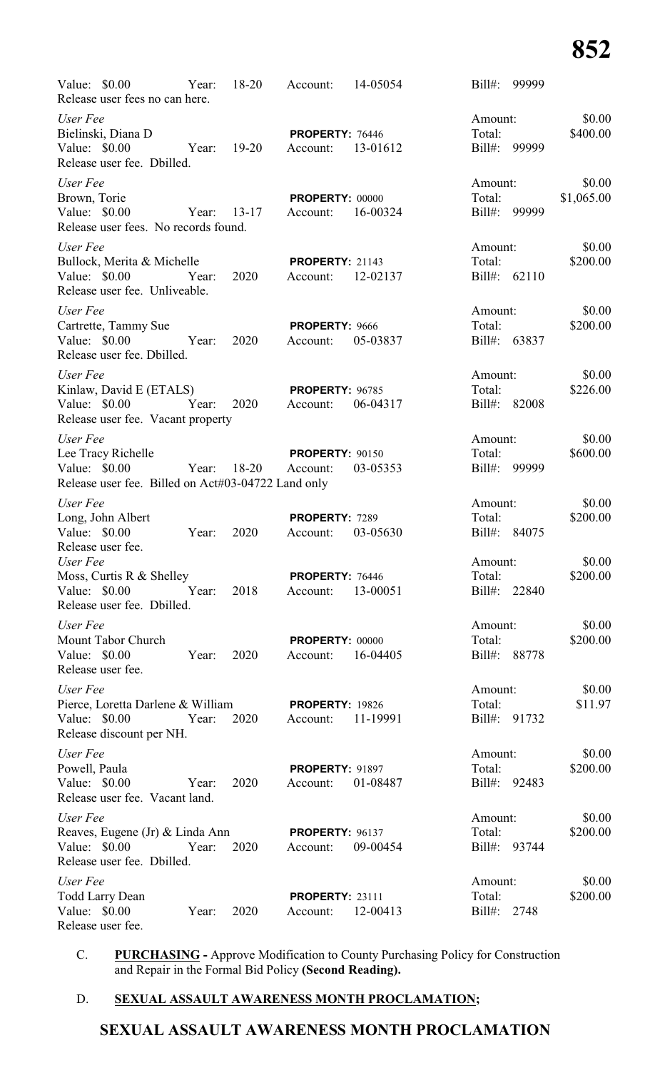| Value: $$0.00$<br>Release user fees no can here.                                                      | Year:       |      | 18-20 Account:                                 | 14-05054 | Bill#: 99999                      |                             |
|-------------------------------------------------------------------------------------------------------|-------------|------|------------------------------------------------|----------|-----------------------------------|-----------------------------|
| User Fee<br>Bielinski, Diana D<br>Value: \$0.00<br>Release user fee. Dbilled.                         | Year: 19-20 |      | PROPERTY: 76446<br>Account:                    | 13-01612 | Amount:<br>Total:<br>Bill#: 99999 | \$0.00<br>\$400.00          |
| User Fee<br>Brown, Torie<br>Value: \$0.00<br>Release user fees. No records found.                     | Year: 13-17 |      | <b>PROPERTY: 00000</b><br>Account:             | 16-00324 | Amount:<br>Total:<br>Bill#: 99999 | \$0.00<br>\$1,065.00        |
| User Fee<br>Bullock, Merita & Michelle<br>Value: \$0.00<br>Release user fee. Unliveable.              | Year: 2020  |      | <b>PROPERTY: 21143</b><br>Account:             | 12-02137 | Amount:<br>Total:<br>Bill#: 62110 | \$0.00<br>\$200.00          |
| User Fee<br>Cartrette, Tammy Sue<br>Value: $$0.00$<br>Release user fee. Dbilled.                      | Year:       | 2020 | PROPERTY: 9666<br>Account:                     | 05-03837 | Amount:<br>Total:<br>Bill#: 63837 | \$0.00<br>\$200.00          |
| User Fee<br>Kinlaw, David E (ETALS)<br>Value: \$0.00 Year:<br>Release user fee. Vacant property       |             | 2020 | <b>PROPERTY: 96785</b><br>Account:             | 06-04317 | Amount:<br>Total:<br>Bill#: 82008 | \$0.00<br>\$226.00          |
| User Fee<br>Lee Tracy Richelle<br>Value: \$0.00<br>Release user fee. Billed on Act#03-04722 Land only |             |      | <b>PROPERTY: 90150</b><br>Year: 18-20 Account: | 03-05353 | Amount:<br>Total:<br>Bill#: 99999 | \$0.00<br>\$600.00          |
| User Fee<br>Long, John Albert<br>Value: $$0.00$<br>Release user fee.                                  | Year:       | 2020 | PROPERTY: 7289<br>Account:                     | 03-05630 | Amount:<br>Total:<br>Bill#: 84075 | \$0.00<br>\$200.00          |
| User Fee<br>Moss, Curtis R & Shelley<br>Value: \$0.00<br>Release user fee. Dbilled.                   | Year:       | 2018 | PROPERTY: 76446<br>Account:                    | 13-00051 | Amount:<br>Total:<br>Bill#:       | \$0.00<br>\$200.00<br>22840 |
| User Fee<br>Mount Tabor Church<br>Value: \$0.00<br>Release user fee.                                  | Year:       | 2020 | PROPERTY: 00000<br>Account:                    | 16-04405 | Amount:<br>Total:<br>$Bill#$ :    | \$0.00<br>\$200.00<br>88778 |
| User Fee<br>Pierce, Loretta Darlene & William<br>Value: \$0.00<br>Release discount per NH.            | Year:       | 2020 | <b>PROPERTY: 19826</b><br>Account:             | 11-19991 | Amount:<br>Total:<br>Bill#:       | \$0.00<br>\$11.97<br>91732  |
| User Fee<br>Powell, Paula<br>Value: \$0.00<br>Release user fee. Vacant land.                          | Year:       | 2020 | <b>PROPERTY: 91897</b><br>Account:             | 01-08487 | Amount:<br>Total:<br>Bill#:       | \$0.00<br>\$200.00<br>92483 |
| User Fee<br>Reaves, Eugene (Jr) & Linda Ann<br>Value: \$0.00<br>Release user fee. Dbilled.            | Year:       | 2020 | <b>PROPERTY: 96137</b><br>Account:             | 09-00454 | Amount:<br>Total:<br>Bill#:       | \$0.00<br>\$200.00<br>93744 |
| User Fee<br><b>Todd Larry Dean</b><br>Value: \$0.00<br>Release user fee.                              | Year:       | 2020 | <b>PROPERTY: 23111</b><br>Account:             | 12-00413 | Amount:<br>Total:<br>$Bill#$ :    | \$0.00<br>\$200.00<br>2748  |

C. **PURCHASING -** Approve Modification to County Purchasing Policy for Construction and Repair in the Formal Bid Policy **(Second Reading).**

# D. **SEXUAL ASSAULT AWARENESS MONTH PROCLAMATION;**

# **SEXUAL ASSAULT AWARENESS MONTH PROCLAMATION**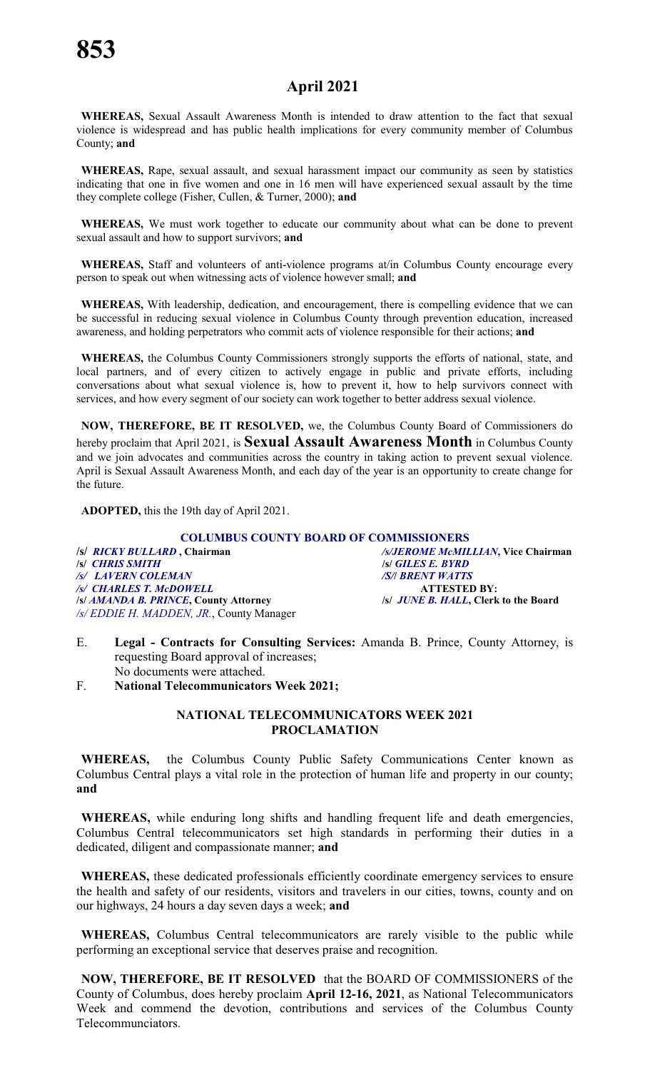# **April 2021**

**WHEREAS,** Sexual Assault Awareness Month is intended to draw attention to the fact that sexual violence is widespread and has public health implications for every community member of Columbus County; **and**

**WHEREAS,** Rape, sexual assault, and sexual harassment impact our community as seen by statistics indicating that one in five women and one in 16 men will have experienced sexual assault by the time they complete college (Fisher, Cullen, & Turner, 2000); **and**

**WHEREAS,** We must work together to educate our community about what can be done to prevent sexual assault and how to support survivors; **and**

**WHEREAS,** Staff and volunteers of anti-violence programs at/in Columbus County encourage every person to speak out when witnessing acts of violence however small; **and**

**WHEREAS,** With leadership, dedication, and encouragement, there is compelling evidence that we can be successful in reducing sexual violence in Columbus County through prevention education, increased awareness, and holding perpetrators who commit acts of violence responsible for their actions; **and**

**WHEREAS,** the Columbus County Commissioners strongly supports the efforts of national, state, and local partners, and of every citizen to actively engage in public and private efforts, including conversations about what sexual violence is, how to prevent it, how to help survivors connect with services, and how every segment of our society can work together to better address sexual violence.

**NOW, THEREFORE, BE IT RESOLVED,** we, the Columbus County Board of Commissioners do hereby proclaim that April 2021, is **Sexual Assault Awareness Month** in Columbus County and we join advocates and communities across the country in taking action to prevent sexual violence. April is Sexual Assault Awareness Month, and each day of the year is an opportunity to create change for the future.

**ADOPTED,** this the 19th day of April 2021.

**COLUMBUS COUNTY BOARD OF COMMISSIONERS**<br>*S/JEROME McMIL* **/s/** *RICKY BULLARD* **, Chairman** */s/JEROME McMILLIAN***, Vice Chairman /s/** *CHRIS SMITH* **/s/** *GILES E. BYRD /s/ LAVERN COLEMAN /S/***/** *BRENT WATTS /s/ CHARLES T. McDOWELL* **ATTESTED BY: /s/** *AMANDA B. PRINCE***, County Attorney /s/** *JUNE B. HALL***, Clerk to the Board** */s/ EDDIE H. MADDEN, JR.*, County Manager

- E. **Legal Contracts for Consulting Services:** Amanda B. Prince, County Attorney, is requesting Board approval of increases; No documents were attached.
- F. **National Telecommunicators Week 2021;**

# **NATIONAL TELECOMMUNICATORS WEEK 2021 PROCLAMATION**

**WHEREAS,** the Columbus County Public Safety Communications Center known as Columbus Central plays a vital role in the protection of human life and property in our county; **and**

**WHEREAS,** while enduring long shifts and handling frequent life and death emergencies, Columbus Central telecommunicators set high standards in performing their duties in a dedicated, diligent and compassionate manner; **and**

**WHEREAS,** these dedicated professionals efficiently coordinate emergency services to ensure the health and safety of our residents, visitors and travelers in our cities, towns, county and on our highways, 24 hours a day seven days a week; **and**

**WHEREAS,** Columbus Central telecommunicators are rarely visible to the public while performing an exceptional service that deserves praise and recognition.

**NOW, THEREFORE, BE IT RESOLVED** that the BOARD OF COMMISSIONERS of the County of Columbus, does hereby proclaim **April 12-16, 2021**, as National Telecommunicators Week and commend the devotion, contributions and services of the Columbus County Telecommunciators.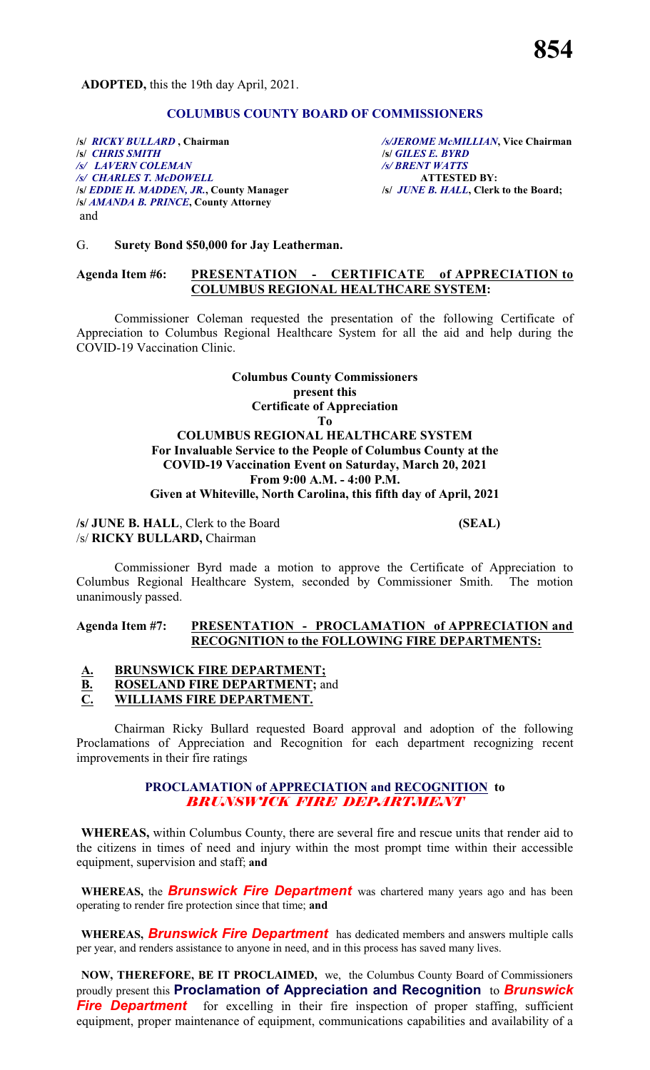**ADOPTED,** this the 19th day April, 2021.

# **COLUMBUS COUNTY BOARD OF COMMISSIONERS**

**/s/** *RICKY BULLARD* **, Chairman** */s/JEROME McMILLIAN***, Vice Chairman /s/** *CHRIS SMITH* **/s/** *GILES E. BYRD /s/ LAVERN COLEMAN /s/ BRENT WATTS /s/ CHARLES T. McDOWELL* **ATTESTED BY: /s/** *EDDIE H. MADDEN, JR.***, County Manager /s/** *JUNE B. HALL***, Clerk to the Board; /s/** *AMANDA B. PRINCE***, County Attorney** and

#### G. **Surety Bond \$50,000 for Jay Leatherman.**

#### **Agenda Item #6: PRESENTATION - CERTIFICATE of APPRECIATION to COLUMBUS REGIONAL HEALTHCARE SYSTEM:**

Commissioner Coleman requested the presentation of the following Certificate of Appreciation to Columbus Regional Healthcare System for all the aid and help during the COVID-19 Vaccination Clinic.

## **Columbus County Commissioners present this Certificate of Appreciation To COLUMBUS REGIONAL HEALTHCARE SYSTEM For Invaluable Service to the People of Columbus County at the COVID-19 Vaccination Event on Saturday, March 20, 2021 From 9:00 A.M. - 4:00 P.M.**

#### **Given at Whiteville, North Carolina, this fifth day of April, 2021**

## **/s/ JUNE B. HALL**, Clerk to the Board **(SEAL)** /s/ **RICKY BULLARD,** Chairman

Commissioner Byrd made a motion to approve the Certificate of Appreciation to Columbus Regional Healthcare System, seconded by Commissioner Smith. The motion unanimously passed.

## **Agenda Item #7: PRESENTATION - PROCLAMATION of APPRECIATION and RECOGNITION to the FOLLOWING FIRE DEPARTMENTS:**

# **A. BRUNSWICK FIRE DEPARTMENT; B. ROSELAND FIRE DEPARTMENT;** and **C. WILLIAMS FIRE DEPARTMENT.**

Chairman Ricky Bullard requested Board approval and adoption of the following Proclamations of Appreciation and Recognition for each department recognizing recent improvements in their fire ratings

#### **PROCLAMATION of APPRECIATION and RECOGNITION to** *BRUNSWICK FIRE DEPARTMENT*

**WHEREAS,** within Columbus County, there are several fire and rescue units that render aid to the citizens in times of need and injury within the most prompt time within their accessible equipment, supervision and staff; **and**

**WHEREAS,** the *Brunswick Fire Department* was chartered many years ago and has been operating to render fire protection since that time; **and**

**WHEREAS,** *Brunswick Fire Department* has dedicated members and answers multiple calls per year, and renders assistance to anyone in need, and in this process has saved many lives.

**NOW, THEREFORE, BE IT PROCLAIMED,** we, the Columbus County Board of Commissioners proudly present this **Proclamation of Appreciation and Recognition** to *Brunswick* **Fire Department** for excelling in their fire inspection of proper staffing, sufficient equipment, proper maintenance of equipment, communications capabilities and availability of a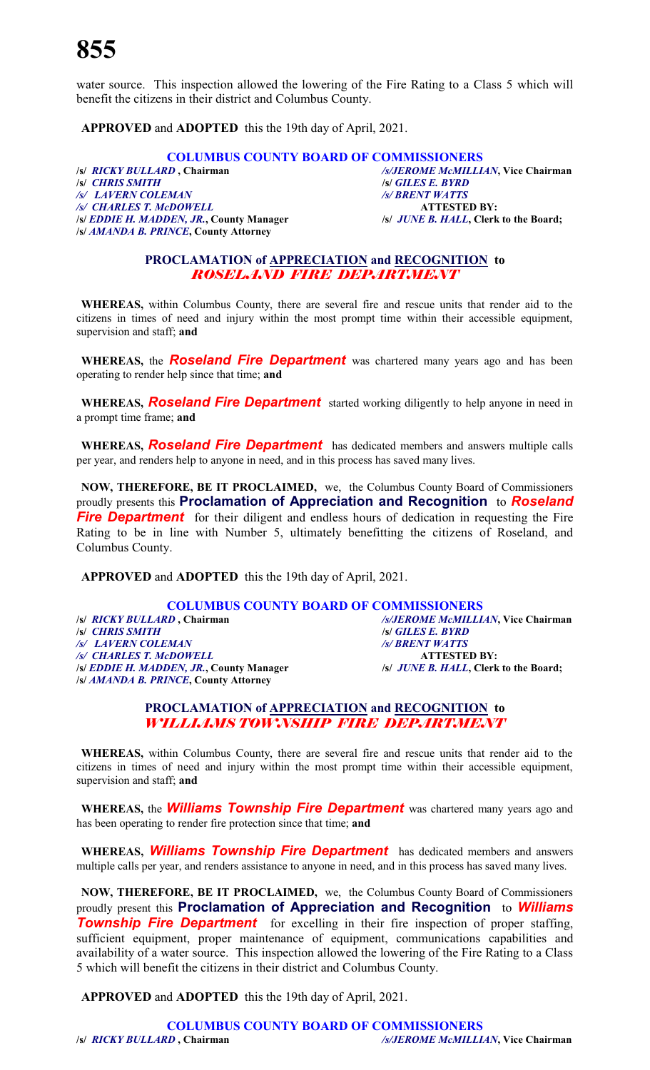water source. This inspection allowed the lowering of the Fire Rating to a Class 5 which will benefit the citizens in their district and Columbus County.

**APPROVED** and **ADOPTED** this the 19th day of April, 2021.

# **COLUMBUS COUNTY BOARD OF COMMISSIONERS**<br>/s/*BICKY BULLARD* , Chairman /s/*JEROME McMILLI.*

**/s/** *RICKY BULLARD* **, Chairman** */s/JEROME McMILLIAN***, Vice Chairman** */s/ LAVERN COLEMAN /s/ BRENT WATTS /s/ CHARLES T. McDOWELL* **ATTESTED BY: /s/** *EDDIE H. MADDEN, JR.***, County Manager /s/** *JUNE B. HALL***, Clerk to the Board; /s/** *AMANDA B. PRINCE***, County Attorney**

**/s/** *CHRIS SMITH* **/s/** *GILES E. BYRD* 

# **PROCLAMATION of APPRECIATION and RECOGNITION to** *ROSELAND FIRE DEPARTMENT*

**WHEREAS,** within Columbus County, there are several fire and rescue units that render aid to the citizens in times of need and injury within the most prompt time within their accessible equipment, supervision and staff; **and**

WHEREAS, the **Roseland Fire Department** was chartered many years ago and has been operating to render help since that time; **and**

**WHEREAS,** *Roseland Fire Department* started working diligently to help anyone in need in a prompt time frame; **and**

**WHEREAS,** *Roseland Fire Department* has dedicated members and answers multiple calls per year, and renders help to anyone in need, and in this process has saved many lives.

**NOW, THEREFORE, BE IT PROCLAIMED,** we, the Columbus County Board of Commissioners proudly presents this **Proclamation of Appreciation and Recognition** to *Roseland* **Fire Department** for their diligent and endless hours of dedication in requesting the Fire Rating to be in line with Number 5, ultimately benefitting the citizens of Roseland, and Columbus County.

**APPROVED** and **ADOPTED** this the 19th day of April, 2021.

# **COLUMBUS COUNTY BOARD OF COMMISSIONERS**<br>/s/*RICKY BULLARD*, Chairman /s/*SJEROME McMILLL* **/s/** *RICKY BULLARD* **, Chairman** */s/JEROME McMILLIAN***, Vice Chairman** */s/ LAVERN COLEMAN /s/ BRENT WATTS /s/ CHARLES T. McDOWELL* **ATTESTED BY: /s/** *EDDIE H. MADDEN, JR.***, County Manager /s/** *JUNE B. HALL***, Clerk to the Board; /s/** *AMANDA B. PRINCE***, County Attorney**

**/s/** *CHRIS SMITH* **/s/** *GILES E. BYRD* 

# **PROCLAMATION of APPRECIATION and RECOGNITION to** *WILLIAMS TOWNSHIP FIRE DEPARTMENT*

**WHEREAS,** within Columbus County, there are several fire and rescue units that render aid to the citizens in times of need and injury within the most prompt time within their accessible equipment, supervision and staff; **and**

**WHEREAS,** the *Williams Township Fire Department* was chartered many years ago and has been operating to render fire protection since that time; **and**

**WHEREAS,** *Williams Township Fire Department* has dedicated members and answers multiple calls per year, and renders assistance to anyone in need, and in this process has saved many lives.

**NOW, THEREFORE, BE IT PROCLAIMED,** we, the Columbus County Board of Commissioners proudly present this **Proclamation of Appreciation and Recognition** to *Williams* **Township Fire Department** for excelling in their fire inspection of proper staffing, sufficient equipment, proper maintenance of equipment, communications capabilities and availability of a water source. This inspection allowed the lowering of the Fire Rating to a Class 5 which will benefit the citizens in their district and Columbus County.

**APPROVED** and **ADOPTED** this the 19th day of April, 2021.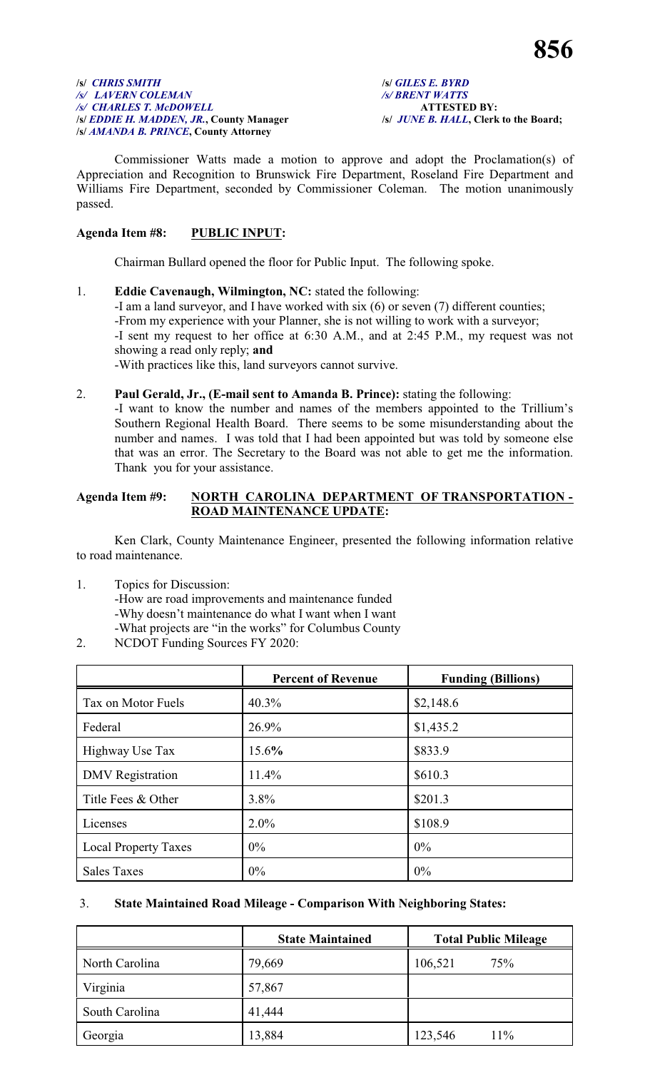#### **/s/** *CHRIS SMITH* **/s/** *GILES E. BYRD /s/ LAVERN COLEMAN /s/ BRENT WATTS /s/ CHARLES T. McDOWELL* **ATTESTED BY: /s/** *EDDIE H. MADDEN, JR.***, County Manager /s/** *JUNE B. HALL***, Clerk to the Board; /s/** *AMANDA B. PRINCE***, County Attorney**

Commissioner Watts made a motion to approve and adopt the Proclamation(s) of Appreciation and Recognition to Brunswick Fire Department, Roseland Fire Department and Williams Fire Department, seconded by Commissioner Coleman. The motion unanimously passed.

# **Agenda Item #8: PUBLIC INPUT:**

Chairman Bullard opened the floor for Public Input. The following spoke.

- 1. **Eddie Cavenaugh, Wilmington, NC:** stated the following: -I am a land surveyor, and I have worked with six (6) or seven (7) different counties; -From my experience with your Planner, she is not willing to work with a surveyor; -I sent my request to her office at 6:30 A.M., and at 2:45 P.M., my request was not showing a read only reply; **and** -With practices like this, land surveyors cannot survive.
- 2. **Paul Gerald, Jr., (E-mail sent to Amanda B. Prince):** stating the following:

-I want to know the number and names of the members appointed to the Trillium's Southern Regional Health Board. There seems to be some misunderstanding about the number and names. I was told that I had been appointed but was told by someone else that was an error. The Secretary to the Board was not able to get me the information. Thank you for your assistance.

## **Agenda Item #9: NORTH CAROLINA DEPARTMENT OF TRANSPORTATION - ROAD MAINTENANCE UPDATE:**

Ken Clark, County Maintenance Engineer, presented the following information relative to road maintenance.

1. Topics for Discussion:

-How are road improvements and maintenance funded -Why doesn't maintenance do what I want when I want -What projects are "in the works" for Columbus County

2. NCDOT Funding Sources FY 2020:

|                             | <b>Percent of Revenue</b> | <b>Funding (Billions)</b> |
|-----------------------------|---------------------------|---------------------------|
| Tax on Motor Fuels          | 40.3%                     | \$2,148.6                 |
| Federal                     | 26.9%                     | \$1,435.2                 |
| Highway Use Tax             | 15.6%                     | \$833.9                   |
| <b>DMV</b> Registration     | 11.4%                     | \$610.3                   |
| Title Fees & Other          | 3.8%                      | \$201.3                   |
| Licenses                    | $2.0\%$                   | \$108.9                   |
| <b>Local Property Taxes</b> | $0\%$                     | 0%                        |
| <b>Sales Taxes</b>          | $0\%$                     | 0%                        |

# 3. **State Maintained Road Mileage - Comparison With Neighboring States:**

|                | <b>State Maintained</b> | <b>Total Public Mileage</b> |
|----------------|-------------------------|-----------------------------|
| North Carolina | 79,669                  | 106,521<br>75%              |
| Virginia       | 57,867                  |                             |
| South Carolina | 41,444                  |                             |
| Georgia        | 13,884                  | 11%<br>123,546              |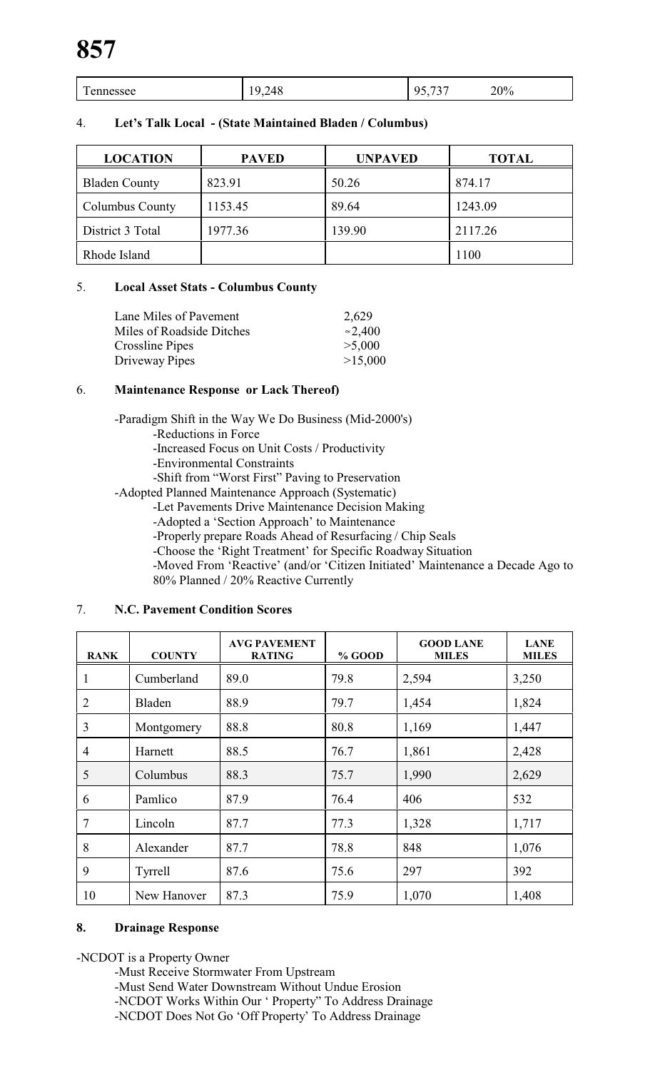| $\mathbf{r}$<br>$cc$ $\Omega$ $\Omega$<br>________ | '/L<br>u<br>∠−ບ<br>- -<br>- | $\overline{\phantom{a}}$<br> | 20% |
|----------------------------------------------------|-----------------------------|------------------------------|-----|
|                                                    |                             |                              |     |

| 4. |  | Let's Talk Local - (State Maintained Bladen / Columbus) |  |
|----|--|---------------------------------------------------------|--|
|----|--|---------------------------------------------------------|--|

| <b>LOCATION</b>      | <b>PAVED</b> | <b>UNPAVED</b> | <b>TOTAL</b> |
|----------------------|--------------|----------------|--------------|
| <b>Bladen County</b> | 823.91       | 50.26          | 874.17       |
| Columbus County      | 1153.45      | 89.64          | 1243.09      |
| District 3 Total     | 1977.36      | 139.90         | 2117.26      |
| Rhode Island         |              |                | 1100         |

# 5. **Local Asset Stats - Columbus County**

| Lane Miles of Payement    | 2,629           |
|---------------------------|-----------------|
| Miles of Roadside Ditches | $\approx$ 2,400 |
| Crossline Pipes           | >5,000          |
| Driveway Pipes            | >15,000         |
|                           |                 |

# 6. **Maintenance Response or Lack Thereof)**

-Paradigm Shift in the Way We Do Business (Mid-2000's)

- -Reductions in Force
- -Increased Focus on Unit Costs / Productivity
- -Environmental Constraints
- -Shift from "Worst First" Paving to Preservation

-Adopted Planned Maintenance Approach (Systematic)

- -Let Pavements Drive Maintenance Decision Making
- -Adopted a 'Section Approach' to Maintenance
- -Properly prepare Roads Ahead of Resurfacing / Chip Seals
- -Choose the 'Right Treatment' for Specific Roadway Situation
- -Moved From 'Reactive' (and/or 'Citizen Initiated' Maintenance a Decade Ago to 80% Planned / 20% Reactive Currently

| <b>RANK</b>    | <b>COUNTY</b> | <b>AVG PAVEMENT</b><br><b>RATING</b> | % GOOD | <b>GOOD LANE</b><br><b>MILES</b> | <b>LANE</b><br><b>MILES</b> |
|----------------|---------------|--------------------------------------|--------|----------------------------------|-----------------------------|
| 1              | Cumberland    | 89.0                                 | 79.8   | 2,594                            | 3,250                       |
| $\overline{2}$ | Bladen        | 88.9                                 | 79.7   | 1,454                            | 1,824                       |
| 3              | Montgomery    | 88.8                                 | 80.8   | 1,169                            | 1,447                       |
| $\overline{4}$ | Harnett       | 88.5                                 | 76.7   | 1,861                            | 2,428                       |
| 5              | Columbus      | 88.3                                 | 75.7   | 1,990                            | 2,629                       |
| 6              | Pamlico       | 87.9                                 | 76.4   | 406                              | 532                         |
| $\overline{7}$ | Lincoln       | 87.7                                 | 77.3   | 1,328                            | 1,717                       |
| 8              | Alexander     | 87.7                                 | 78.8   | 848                              | 1,076                       |
| 9              | Tyrrell       | 87.6                                 | 75.6   | 297                              | 392                         |
| 10             | New Hanover   | 87.3                                 | 75.9   | 1,070                            | 1,408                       |

# 7. **N.C. Pavement Condition Scores**

# **8. Drainage Response**

-NCDOT is a Property Owner

- -Must Receive Stormwater From Upstream
- -Must Send Water Downstream Without Undue Erosion

-NCDOT Works Within Our ' Property" To Address Drainage

-NCDOT Does Not Go 'Off Property' To Address Drainage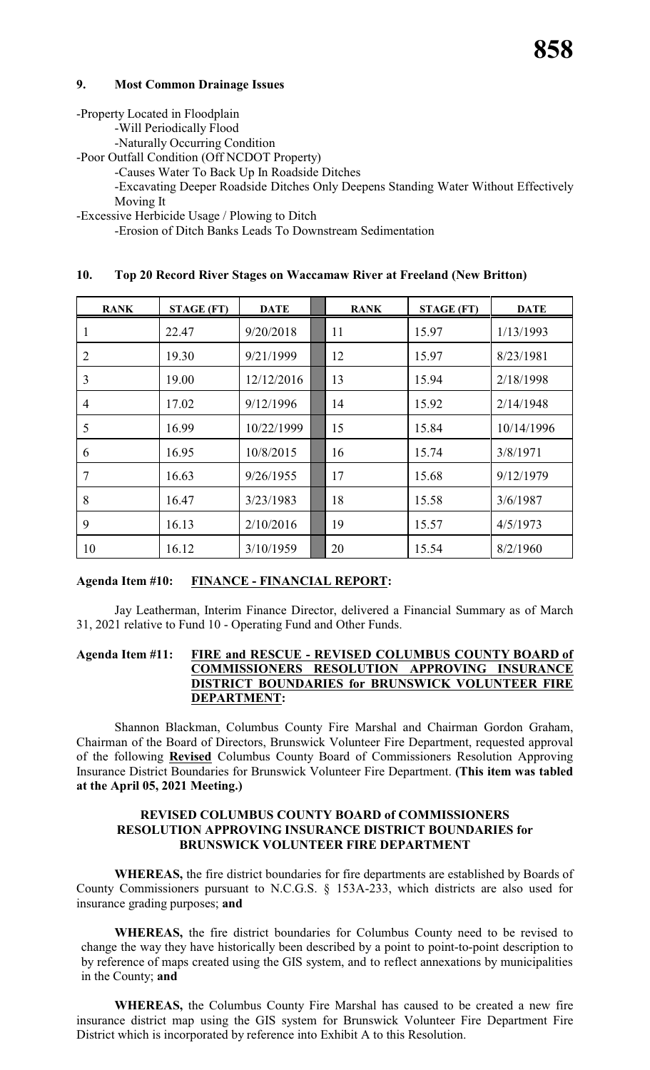# **9. Most Common Drainage Issues**

-Property Located in Floodplain

-Will Periodically Flood

-Naturally Occurring Condition

-Poor Outfall Condition (Off NCDOT Property)

-Causes Water To Back Up In Roadside Ditches

-Excavating Deeper Roadside Ditches Only Deepens Standing Water Without Effectively Moving It

-Excessive Herbicide Usage / Plowing to Ditch

-Erosion of Ditch Banks Leads To Downstream Sedimentation

#### **10. Top 20 Record River Stages on Waccamaw River at Freeland (New Britton)**

| <b>RANK</b>    | <b>STAGE (FT)</b> | <b>DATE</b> | <b>RANK</b> | <b>STAGE (FT)</b> | <b>DATE</b> |
|----------------|-------------------|-------------|-------------|-------------------|-------------|
|                | 22.47             | 9/20/2018   | 11          | 15.97             | 1/13/1993   |
| $\overline{2}$ | 19.30             | 9/21/1999   | 12          | 15.97             | 8/23/1981   |
| 3              | 19.00             | 12/12/2016  | 13          | 15.94             | 2/18/1998   |
| $\overline{4}$ | 17.02             | 9/12/1996   | 14          | 15.92             | 2/14/1948   |
| 5              | 16.99             | 10/22/1999  | 15          | 15.84             | 10/14/1996  |
| 6              | 16.95             | 10/8/2015   | 16          | 15.74             | 3/8/1971    |
| 7              | 16.63             | 9/26/1955   | 17          | 15.68             | 9/12/1979   |
| 8              | 16.47             | 3/23/1983   | 18          | 15.58             | 3/6/1987    |
| 9              | 16.13             | 2/10/2016   | 19          | 15.57             | 4/5/1973    |
| 10             | 16.12             | 3/10/1959   | 20          | 15.54             | 8/2/1960    |

# **Agenda Item #10: FINANCE - FINANCIAL REPORT:**

Jay Leatherman, Interim Finance Director, delivered a Financial Summary as of March 31, 2021 relative to Fund 10 - Operating Fund and Other Funds.

# **Agenda Item #11: FIRE and RESCUE - REVISED COLUMBUS COUNTY BOARD of COMMISSIONERS RESOLUTION APPROVING INSURANCE DISTRICT BOUNDARIES for BRUNSWICK VOLUNTEER FIRE DEPARTMENT:**

Shannon Blackman, Columbus County Fire Marshal and Chairman Gordon Graham, Chairman of the Board of Directors, Brunswick Volunteer Fire Department, requested approval of the following **Revised** Columbus County Board of Commissioners Resolution Approving Insurance District Boundaries for Brunswick Volunteer Fire Department. **(This item was tabled at the April 05, 2021 Meeting.)**

## **REVISED COLUMBUS COUNTY BOARD of COMMISSIONERS RESOLUTION APPROVING INSURANCE DISTRICT BOUNDARIES for BRUNSWICK VOLUNTEER FIRE DEPARTMENT**

**WHEREAS,** the fire district boundaries for fire departments are established by Boards of County Commissioners pursuant to N.C.G.S. § 153A-233, which districts are also used for insurance grading purposes; **and**

**WHEREAS,** the fire district boundaries for Columbus County need to be revised to change the way they have historically been described by a point to point-to-point description to by reference of maps created using the GIS system, and to reflect annexations by municipalities in the County; **and**

**WHEREAS,** the Columbus County Fire Marshal has caused to be created a new fire insurance district map using the GIS system for Brunswick Volunteer Fire Department Fire District which is incorporated by reference into Exhibit A to this Resolution.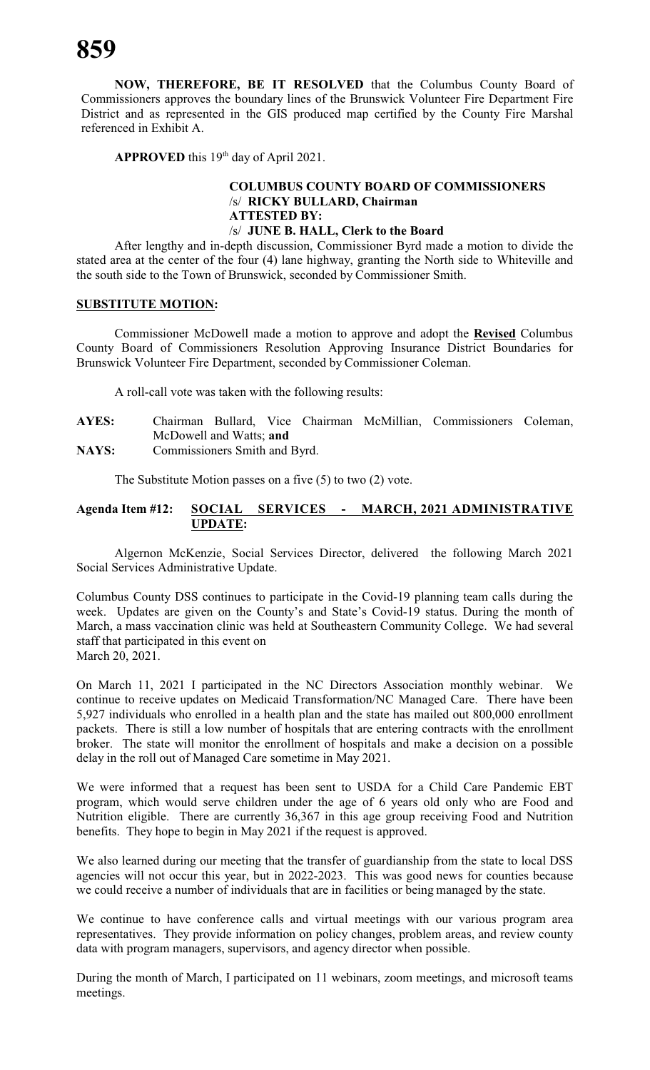**NOW, THEREFORE, BE IT RESOLVED** that the Columbus County Board of Commissioners approves the boundary lines of the Brunswick Volunteer Fire Department Fire District and as represented in the GIS produced map certified by the County Fire Marshal referenced in Exhibit A.

APPROVED this 19<sup>th</sup> day of April 2021.

# **COLUMBUS COUNTY BOARD OF COMMISSIONERS** /s/ **RICKY BULLARD, Chairman ATTESTED BY:** /s/ **JUNE B. HALL, Clerk to the Board**

After lengthy and in-depth discussion, Commissioner Byrd made a motion to divide the stated area at the center of the four (4) lane highway, granting the North side to Whiteville and the south side to the Town of Brunswick, seconded by Commissioner Smith.

#### **SUBSTITUTE MOTION:**

Commissioner McDowell made a motion to approve and adopt the **Revised** Columbus County Board of Commissioners Resolution Approving Insurance District Boundaries for Brunswick Volunteer Fire Department, seconded by Commissioner Coleman.

A roll-call vote was taken with the following results:

**AYES:** Chairman Bullard, Vice Chairman McMillian, Commissioners Coleman, McDowell and Watts; **and NAYS:** Commissioners Smith and Byrd.

The Substitute Motion passes on a five (5) to two (2) vote.

# **Agenda Item #12: SOCIAL SERVICES - MARCH, 2021 ADMINISTRATIVE UPDATE:**

Algernon McKenzie, Social Services Director, delivered the following March 2021 Social Services Administrative Update.

Columbus County DSS continues to participate in the Covid-19 planning team calls during the week. Updates are given on the County's and State's Covid-19 status. During the month of March, a mass vaccination clinic was held at Southeastern Community College. We had several staff that participated in this event on March 20, 2021.

On March 11, 2021 I participated in the NC Directors Association monthly webinar. We continue to receive updates on Medicaid Transformation/NC Managed Care. There have been 5,927 individuals who enrolled in a health plan and the state has mailed out 800,000 enrollment packets. There is still a low number of hospitals that are entering contracts with the enrollment broker. The state will monitor the enrollment of hospitals and make a decision on a possible delay in the roll out of Managed Care sometime in May 2021.

We were informed that a request has been sent to USDA for a Child Care Pandemic EBT program, which would serve children under the age of 6 years old only who are Food and Nutrition eligible. There are currently 36,367 in this age group receiving Food and Nutrition benefits. They hope to begin in May 2021 if the request is approved.

We also learned during our meeting that the transfer of guardianship from the state to local DSS agencies will not occur this year, but in 2022-2023. This was good news for counties because we could receive a number of individuals that are in facilities or being managed by the state.

We continue to have conference calls and virtual meetings with our various program area representatives. They provide information on policy changes, problem areas, and review county data with program managers, supervisors, and agency director when possible.

During the month of March, I participated on 11 webinars, zoom meetings, and microsoft teams meetings.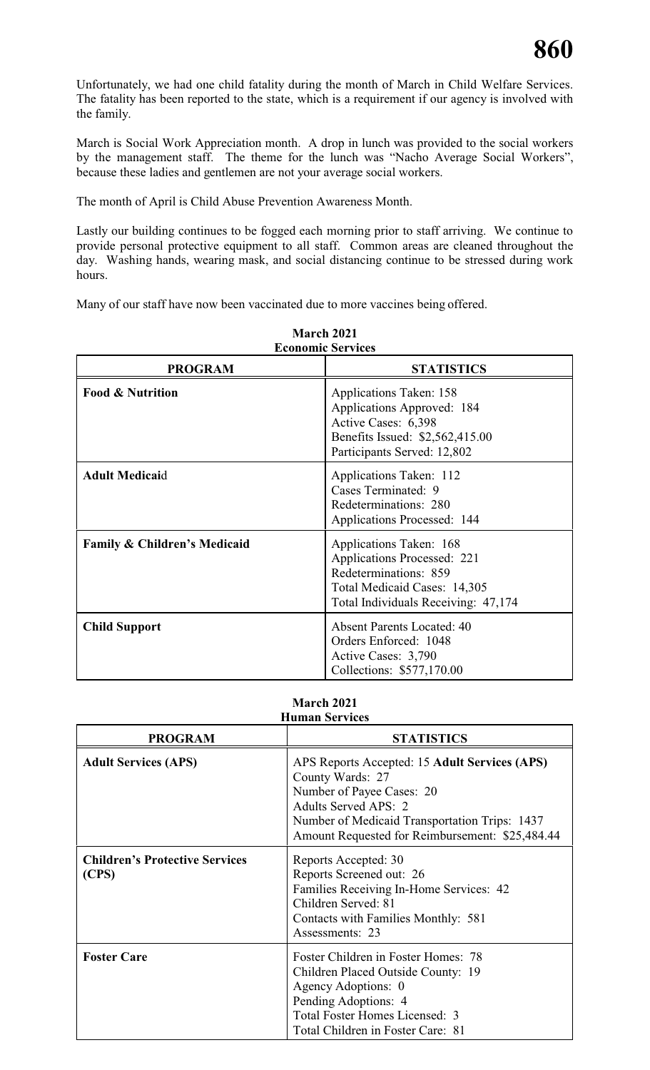Unfortunately, we had one child fatality during the month of March in Child Welfare Services. The fatality has been reported to the state, which is a requirement if our agency is involved with the family.

March is Social Work Appreciation month. A drop in lunch was provided to the social workers by the management staff. The theme for the lunch was "Nacho Average Social Workers", because these ladies and gentlemen are not your average social workers.

The month of April is Child Abuse Prevention Awareness Month.

Lastly our building continues to be fogged each morning prior to staff arriving. We continue to provide personal protective equipment to all staff. Common areas are cleaned throughout the day. Washing hands, wearing mask, and social distancing continue to be stressed during work hours.

Many of our staff have now been vaccinated due to more vaccines being offered.

| <b>Economic Services</b>                |                                                                                                                                                        |  |
|-----------------------------------------|--------------------------------------------------------------------------------------------------------------------------------------------------------|--|
| <b>PROGRAM</b>                          | <b>STATISTICS</b>                                                                                                                                      |  |
| <b>Food &amp; Nutrition</b>             | <b>Applications Taken: 158</b><br>Applications Approved: 184<br>Active Cases: 6,398<br>Benefits Issued: \$2,562,415.00<br>Participants Served: 12,802  |  |
| <b>Adult Medicaid</b>                   | Applications Taken: 112<br>Cases Terminated: 9<br>Redeterminations: 280<br><b>Applications Processed: 144</b>                                          |  |
| <b>Family &amp; Children's Medicaid</b> | Applications Taken: 168<br>Applications Processed: 221<br>Redeterminations: 859<br>Total Medicaid Cases: 14,305<br>Total Individuals Receiving: 47,174 |  |
| <b>Child Support</b>                    | <b>Absent Parents Located: 40</b><br>Orders Enforced: 1048<br>Active Cases: 3,790<br>Collections: \$577,170.00                                         |  |

| March 2021               |  |
|--------------------------|--|
| <b>Economic Services</b> |  |

#### **March 2021 Human Services**

| <b>PROGRAM</b>                                 | <b>STATISTICS</b>                                                                                                                                                                                                                        |
|------------------------------------------------|------------------------------------------------------------------------------------------------------------------------------------------------------------------------------------------------------------------------------------------|
| <b>Adult Services (APS)</b>                    | APS Reports Accepted: 15 <b>Adult Services (APS)</b><br>County Wards: 27<br>Number of Payee Cases: 20<br><b>Adults Served APS: 2</b><br>Number of Medicaid Transportation Trips: 1437<br>Amount Requested for Reimbursement: \$25,484.44 |
| <b>Children's Protective Services</b><br>(CPS) | Reports Accepted: 30<br>Reports Screened out: 26<br>Families Receiving In-Home Services: 42<br>Children Served: 81<br>Contacts with Families Monthly: 581<br>Assessments: 23                                                             |
| <b>Foster Care</b>                             | Foster Children in Foster Homes: 78<br>Children Placed Outside County: 19<br>Agency Adoptions: 0<br>Pending Adoptions: 4<br>Total Foster Homes Licensed: 3<br>Total Children in Foster Care: 81                                          |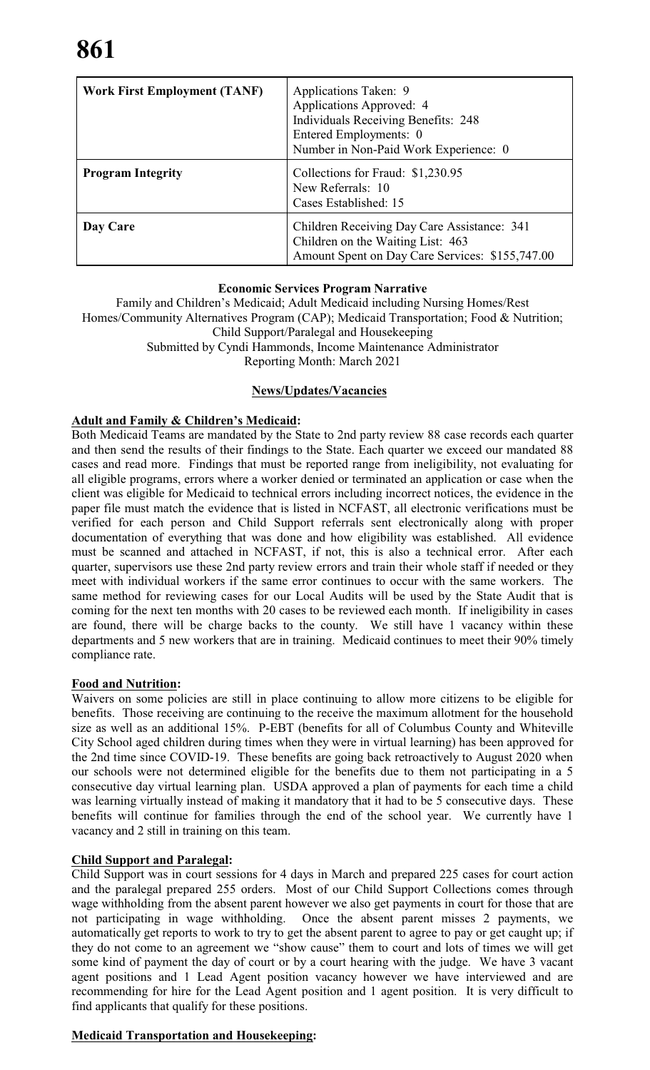| <b>Work First Employment (TANF)</b> | Applications Taken: 9<br>Applications Approved: 4<br><b>Individuals Receiving Benefits: 248</b><br>Entered Employments: 0<br>Number in Non-Paid Work Experience: 0 |
|-------------------------------------|--------------------------------------------------------------------------------------------------------------------------------------------------------------------|
| <b>Program Integrity</b>            | Collections for Fraud: \$1,230.95<br>New Referrals: 10<br>Cases Established: 15                                                                                    |
| Day Care                            | Children Receiving Day Care Assistance: 341<br>Children on the Waiting List: 463<br>Amount Spent on Day Care Services: \$155,747.00                                |

#### **Economic Services Program Narrative**

Family and Children's Medicaid; Adult Medicaid including Nursing Homes/Rest Homes/Community Alternatives Program (CAP); Medicaid Transportation; Food & Nutrition; Child Support/Paralegal and Housekeeping Submitted by Cyndi Hammonds, Income Maintenance Administrator

Reporting Month: March 2021

# **News/Updates/Vacancies**

# **Adult and Family & Children's Medicaid:**

Both Medicaid Teams are mandated by the State to 2nd party review 88 case records each quarter and then send the results of their findings to the State. Each quarter we exceed our mandated 88 cases and read more. Findings that must be reported range from ineligibility, not evaluating for all eligible programs, errors where a worker denied or terminated an application or case when the client was eligible for Medicaid to technical errors including incorrect notices, the evidence in the paper file must match the evidence that is listed in NCFAST, all electronic verifications must be verified for each person and Child Support referrals sent electronically along with proper documentation of everything that was done and how eligibility was established. All evidence must be scanned and attached in NCFAST, if not, this is also a technical error. After each quarter, supervisors use these 2nd party review errors and train their whole staff if needed or they meet with individual workers if the same error continues to occur with the same workers. The same method for reviewing cases for our Local Audits will be used by the State Audit that is coming for the next ten months with 20 cases to be reviewed each month. If ineligibility in cases are found, there will be charge backs to the county. We still have 1 vacancy within these departments and 5 new workers that are in training. Medicaid continues to meet their 90% timely compliance rate.

# **Food and Nutrition:**

Waivers on some policies are still in place continuing to allow more citizens to be eligible for benefits. Those receiving are continuing to the receive the maximum allotment for the household size as well as an additional 15%. P-EBT (benefits for all of Columbus County and Whiteville City School aged children during times when they were in virtual learning) has been approved for the 2nd time since COVID-19. These benefits are going back retroactively to August 2020 when our schools were not determined eligible for the benefits due to them not participating in a 5 consecutive day virtual learning plan. USDA approved a plan of payments for each time a child was learning virtually instead of making it mandatory that it had to be 5 consecutive days. These benefits will continue for families through the end of the school year. We currently have 1 vacancy and 2 still in training on this team.

# **Child Support and Paralegal:**

Child Support was in court sessions for 4 days in March and prepared 225 cases for court action and the paralegal prepared 255 orders. Most of our Child Support Collections comes through wage withholding from the absent parent however we also get payments in court for those that are not participating in wage withholding. Once the absent parent misses 2 payments, we automatically get reports to work to try to get the absent parent to agree to pay or get caught up; if they do not come to an agreement we "show cause" them to court and lots of times we will get some kind of payment the day of court or by a court hearing with the judge. We have 3 vacant agent positions and 1 Lead Agent position vacancy however we have interviewed and are recommending for hire for the Lead Agent position and 1 agent position. It is very difficult to find applicants that qualify for these positions.

# **Medicaid Transportation and Housekeeping:**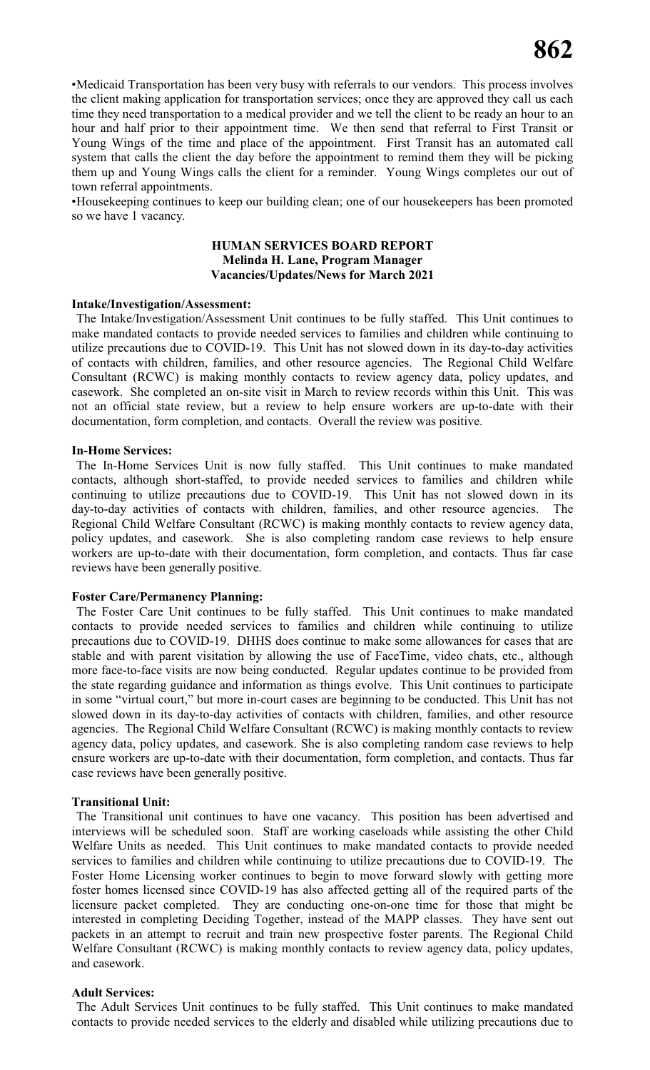•Medicaid Transportation has been very busy with referrals to our vendors. This process involves the client making application for transportation services; once they are approved they call us each time they need transportation to a medical provider and we tell the client to be ready an hour to an hour and half prior to their appointment time. We then send that referral to First Transit or Young Wings of the time and place of the appointment. First Transit has an automated call system that calls the client the day before the appointment to remind them they will be picking them up and Young Wings calls the client for a reminder. Young Wings completes our out of town referral appointments.

•Housekeeping continues to keep our building clean; one of our housekeepers has been promoted so we have 1 vacancy.

#### **HUMAN SERVICES BOARD REPORT Melinda H. Lane, Program Manager Vacancies/Updates/News for March 2021**

#### **Intake/Investigation/Assessment:**

The Intake/Investigation/Assessment Unit continues to be fully staffed. This Unit continues to make mandated contacts to provide needed services to families and children while continuing to utilize precautions due to COVID-19. This Unit has not slowed down in its day-to-day activities of contacts with children, families, and other resource agencies. The Regional Child Welfare Consultant (RCWC) is making monthly contacts to review agency data, policy updates, and casework. She completed an on-site visit in March to review records within this Unit. This was not an official state review, but a review to help ensure workers are up-to-date with their documentation, form completion, and contacts. Overall the review was positive.

#### **In-Home Services:**

The In-Home Services Unit is now fully staffed. This Unit continues to make mandated contacts, although short-staffed, to provide needed services to families and children while continuing to utilize precautions due to COVID-19. This Unit has not slowed down in its day-to-day activities of contacts with children, families, and other resource agencies. The Regional Child Welfare Consultant (RCWC) is making monthly contacts to review agency data, policy updates, and casework. She is also completing random case reviews to help ensure workers are up-to-date with their documentation, form completion, and contacts. Thus far case reviews have been generally positive.

#### **Foster Care/Permanency Planning:**

The Foster Care Unit continues to be fully staffed. This Unit continues to make mandated contacts to provide needed services to families and children while continuing to utilize precautions due to COVID-19. DHHS does continue to make some allowances for cases that are stable and with parent visitation by allowing the use of FaceTime, video chats, etc., although more face-to-face visits are now being conducted. Regular updates continue to be provided from the state regarding guidance and information as things evolve. This Unit continues to participate in some "virtual court," but more in-court cases are beginning to be conducted. This Unit has not slowed down in its day-to-day activities of contacts with children, families, and other resource agencies. The Regional Child Welfare Consultant (RCWC) is making monthly contacts to review agency data, policy updates, and casework. She is also completing random case reviews to help ensure workers are up-to-date with their documentation, form completion, and contacts. Thus far case reviews have been generally positive.

#### **Transitional Unit:**

The Transitional unit continues to have one vacancy. This position has been advertised and interviews will be scheduled soon. Staff are working caseloads while assisting the other Child Welfare Units as needed. This Unit continues to make mandated contacts to provide needed services to families and children while continuing to utilize precautions due to COVID-19. The Foster Home Licensing worker continues to begin to move forward slowly with getting more foster homes licensed since COVID-19 has also affected getting all of the required parts of the licensure packet completed. They are conducting one-on-one time for those that might be interested in completing Deciding Together, instead of the MAPP classes. They have sent out packets in an attempt to recruit and train new prospective foster parents. The Regional Child Welfare Consultant (RCWC) is making monthly contacts to review agency data, policy updates, and casework.

#### **Adult Services:**

The Adult Services Unit continues to be fully staffed. This Unit continues to make mandated contacts to provide needed services to the elderly and disabled while utilizing precautions due to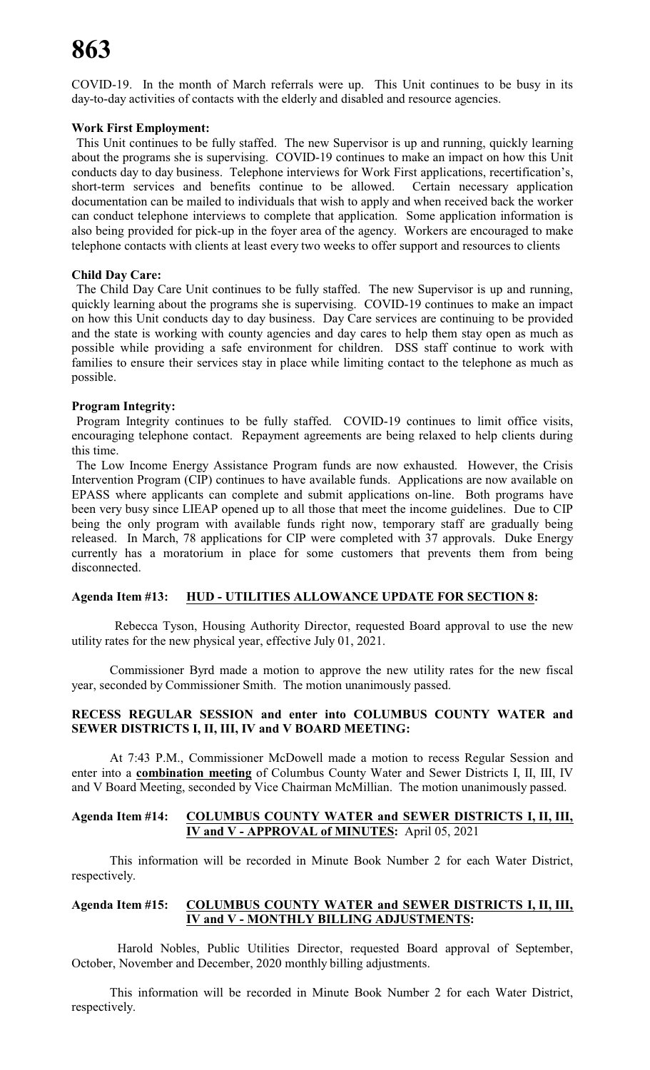# **863**

COVID-19. In the month of March referrals were up. This Unit continues to be busy in its day-to-day activities of contacts with the elderly and disabled and resource agencies.

# **Work First Employment:**

This Unit continues to be fully staffed. The new Supervisor is up and running, quickly learning about the programs she is supervising. COVID-19 continues to make an impact on how this Unit conducts day to day business. Telephone interviews for Work First applications, recertification's, short-term services and benefits continue to be allowed. Certain necessary application documentation can be mailed to individuals that wish to apply and when received back the worker can conduct telephone interviews to complete that application. Some application information is also being provided for pick-up in the foyer area of the agency. Workers are encouraged to make telephone contacts with clients at least every two weeks to offer support and resources to clients

# **Child Day Care:**

The Child Day Care Unit continues to be fully staffed. The new Supervisor is up and running, quickly learning about the programs she is supervising. COVID-19 continues to make an impact on how this Unit conducts day to day business. Day Care services are continuing to be provided and the state is working with county agencies and day cares to help them stay open as much as possible while providing a safe environment for children. DSS staff continue to work with families to ensure their services stay in place while limiting contact to the telephone as much as possible.

# **Program Integrity:**

Program Integrity continues to be fully staffed. COVID-19 continues to limit office visits, encouraging telephone contact. Repayment agreements are being relaxed to help clients during this time.

The Low Income Energy Assistance Program funds are now exhausted. However, the Crisis Intervention Program (CIP) continues to have available funds. Applications are now available on EPASS where applicants can complete and submit applications on-line. Both programs have been very busy since LIEAP opened up to all those that meet the income guidelines. Due to CIP being the only program with available funds right now, temporary staff are gradually being released. In March, 78 applications for CIP were completed with 37 approvals. Duke Energy currently has a moratorium in place for some customers that prevents them from being disconnected.

# **Agenda Item #13: HUD - UTILITIES ALLOWANCE UPDATE FOR SECTION 8:**

Rebecca Tyson, Housing Authority Director, requested Board approval to use the new utility rates for the new physical year, effective July 01, 2021.

Commissioner Byrd made a motion to approve the new utility rates for the new fiscal year, seconded by Commissioner Smith. The motion unanimously passed.

# **RECESS REGULAR SESSION and enter into COLUMBUS COUNTY WATER and SEWER DISTRICTS I, II, III, IV and V BOARD MEETING:**

At 7:43 P.M., Commissioner McDowell made a motion to recess Regular Session and enter into a **combination meeting** of Columbus County Water and Sewer Districts I, II, III, IV and V Board Meeting, seconded by Vice Chairman McMillian. The motion unanimously passed.

# **Agenda Item #14: COLUMBUS COUNTY WATER and SEWER DISTRICTS I, II, III, IV and V - APPROVAL of MINUTES:** April 05, 2021

This information will be recorded in Minute Book Number 2 for each Water District, respectively.

# **Agenda Item #15: COLUMBUS COUNTY WATER and SEWER DISTRICTS I, II, III, IV and V - MONTHLY BILLING ADJUSTMENTS:**

Harold Nobles, Public Utilities Director, requested Board approval of September, October, November and December, 2020 monthly billing adjustments.

This information will be recorded in Minute Book Number 2 for each Water District, respectively.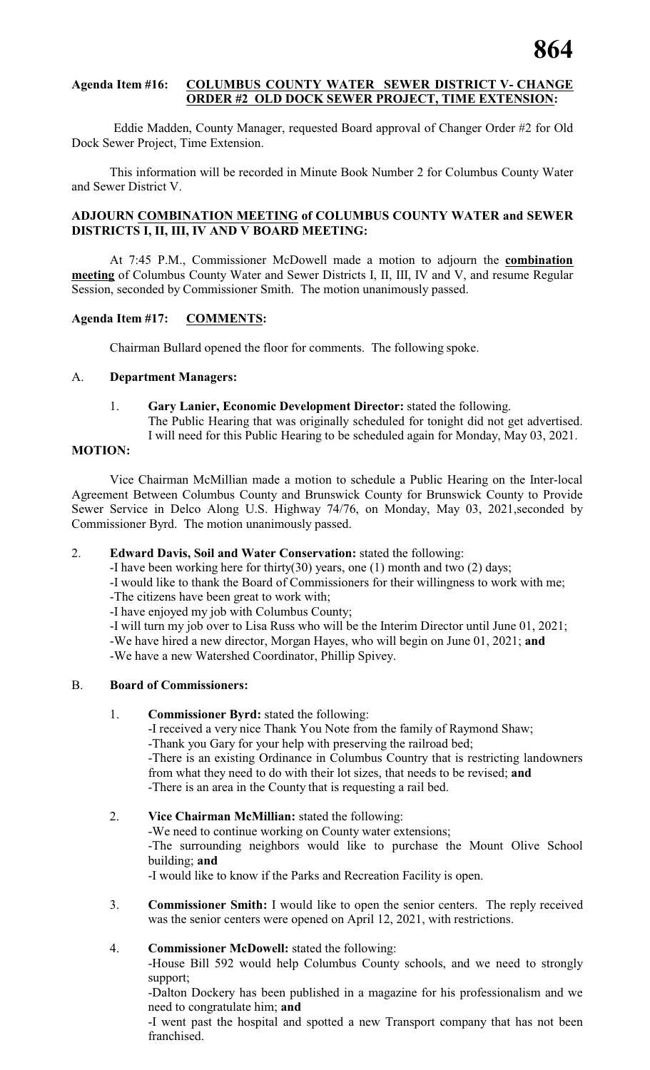# **Agenda Item #16: COLUMBUS COUNTY WATER SEWER DISTRICT V- CHANGE ORDER #2 OLD DOCK SEWER PROJECT, TIME EXTENSION:**

Eddie Madden, County Manager, requested Board approval of Changer Order #2 for Old Dock Sewer Project, Time Extension.

This information will be recorded in Minute Book Number 2 for Columbus County Water and Sewer District V.

# **ADJOURN COMBINATION MEETING of COLUMBUS COUNTY WATER and SEWER DISTRICTS I, II, III, IV AND V BOARD MEETING:**

At 7:45 P.M., Commissioner McDowell made a motion to adjourn the **combination meeting** of Columbus County Water and Sewer Districts I, II, III, IV and V, and resume Regular Session, seconded by Commissioner Smith. The motion unanimously passed.

# **Agenda Item #17: COMMENTS:**

Chairman Bullard opened the floor for comments. The following spoke.

# A. **Department Managers:**

1. **Gary Lanier, Economic Development Director:** stated the following. The Public Hearing that was originally scheduled for tonight did not get advertised.

I will need for this Public Hearing to be scheduled again for Monday, May 03, 2021.

# **MOTION:**

Vice Chairman McMillian made a motion to schedule a Public Hearing on the Inter-local Agreement Between Columbus County and Brunswick County for Brunswick County to Provide Sewer Service in Delco Along U.S. Highway 74/76, on Monday, May 03, 2021,seconded by Commissioner Byrd. The motion unanimously passed.

# 2. **Edward Davis, Soil and Water Conservation:** stated the following:

-I have been working here for thirty(30) years, one (1) month and two (2) days;

-I would like to thank the Board of Commissioners for their willingness to work with me;

-The citizens have been great to work with;

-I have enjoyed my job with Columbus County;

-I will turn my job over to Lisa Russ who will be the Interim Director until June 01, 2021; -We have hired a new director, Morgan Hayes, who will begin on June 01, 2021; **and** -We have a new Watershed Coordinator, Phillip Spivey.

# B. **Board of Commissioners:**

# 1. **Commissioner Byrd:** stated the following:

-I received a very nice Thank You Note from the family of Raymond Shaw; -Thank you Gary for your help with preserving the railroad bed; -There is an existing Ordinance in Columbus Country that is restricting landowners from what they need to do with their lot sizes, that needs to be revised; **and** -There is an area in the County that is requesting a rail bed.

# 2. **Vice Chairman McMillian:** stated the following:

-We need to continue working on County water extensions; -The surrounding neighbors would like to purchase the Mount Olive School building; **and** -I would like to know if the Parks and Recreation Facility is open.

3. **Commissioner Smith:** I would like to open the senior centers. The reply received was the senior centers were opened on April 12, 2021, with restrictions.

# 4. **Commissioner McDowell:** stated the following:

-House Bill 592 would help Columbus County schools, and we need to strongly support;

-Dalton Dockery has been published in a magazine for his professionalism and we need to congratulate him; **and**

-I went past the hospital and spotted a new Transport company that has not been franchised.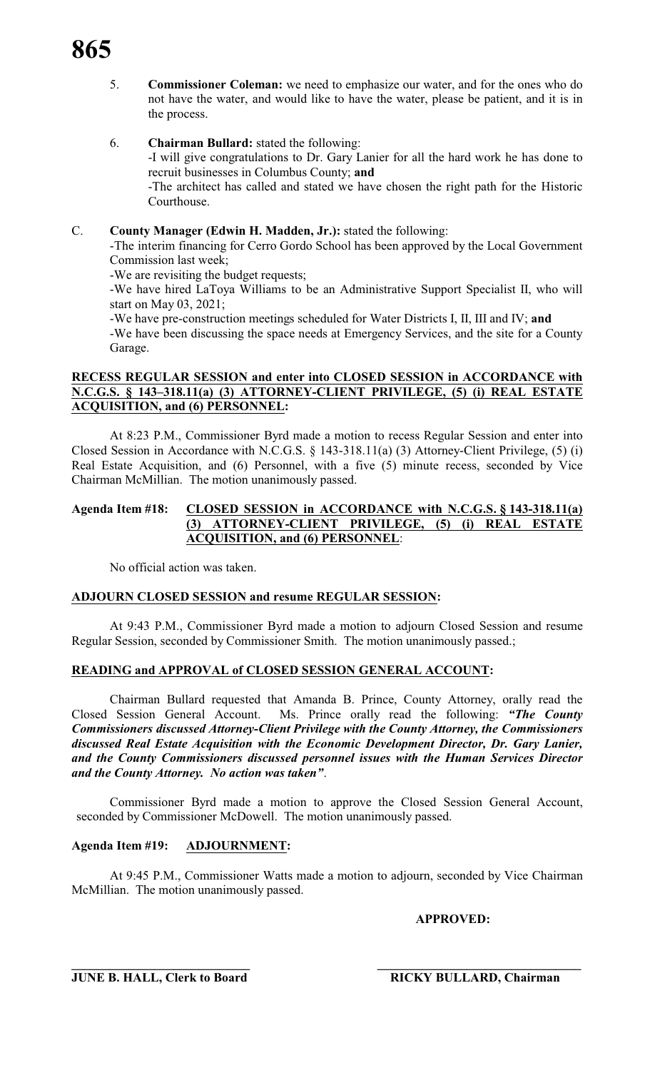- 5. **Commissioner Coleman:** we need to emphasize our water, and for the ones who do not have the water, and would like to have the water, please be patient, and it is in the process.
- 6. **Chairman Bullard:** stated the following: -I will give congratulations to Dr. Gary Lanier for all the hard work he has done to recruit businesses in Columbus County; **and** -The architect has called and stated we have chosen the right path for the Historic Courthouse.

# C. **County Manager (Edwin H. Madden, Jr.):** stated the following:

-The interim financing for Cerro Gordo School has been approved by the Local Government Commission last week;

-We are revisiting the budget requests;

-We have hired LaToya Williams to be an Administrative Support Specialist II, who will start on May 03, 2021;

-We have pre-construction meetings scheduled for Water Districts I, II, III and IV; **and** -We have been discussing the space needs at Emergency Services, and the site for a County Garage.

# **RECESS REGULAR SESSION and enter into CLOSED SESSION in ACCORDANCE with N.C.G.S. § 143–318.11(a) (3) ATTORNEY-CLIENT PRIVILEGE, (5) (i) REAL ESTATE ACQUISITION, and (6) PERSONNEL:**

At 8:23 P.M., Commissioner Byrd made a motion to recess Regular Session and enter into Closed Session in Accordance with N.C.G.S. § 143-318.11(a) (3) Attorney-Client Privilege, (5) (i) Real Estate Acquisition, and (6) Personnel, with a five (5) minute recess, seconded by Vice Chairman McMillian. The motion unanimously passed.

# **Agenda Item #18: CLOSED SESSION in ACCORDANCE with N.C.G.S. § 143-318.11(a) (3) ATTORNEY-CLIENT PRIVILEGE, (5) (i) REAL ESTATE ACQUISITION, and (6) PERSONNEL**:

No official action was taken.

# **ADJOURN CLOSED SESSION and resume REGULAR SESSION:**

At 9:43 P.M., Commissioner Byrd made a motion to adjourn Closed Session and resume Regular Session, seconded by Commissioner Smith. The motion unanimously passed.;

# **READING and APPROVAL of CLOSED SESSION GENERAL ACCOUNT:**

Chairman Bullard requested that Amanda B. Prince, County Attorney, orally read the Closed Session General Account. Ms. Prince orally read the following: *"The County Commissioners discussed Attorney-Client Privilege with the County Attorney, the Commissioners discussed Real Estate Acquisition with the Economic Development Director, Dr. Gary Lanier, and the County Commissioners discussed personnel issues with the Human Services Director and the County Attorney. No action was taken"*.

Commissioner Byrd made a motion to approve the Closed Session General Account, seconded by Commissioner McDowell. The motion unanimously passed.

# **Agenda Item #19: ADJOURNMENT:**

At 9:45 P.M., Commissioner Watts made a motion to adjourn, seconded by Vice Chairman McMillian. The motion unanimously passed.

**\_\_\_\_\_\_\_\_\_\_\_\_\_\_\_\_\_\_\_\_\_\_\_\_\_\_\_\_ \_\_\_\_\_\_\_\_\_\_\_\_\_\_\_\_\_\_\_\_\_\_\_\_\_\_\_\_\_\_\_\_**

# **APPROVED:**

**JUNE B. HALL, Clerk to Board RICKY BULLARD, Chairman**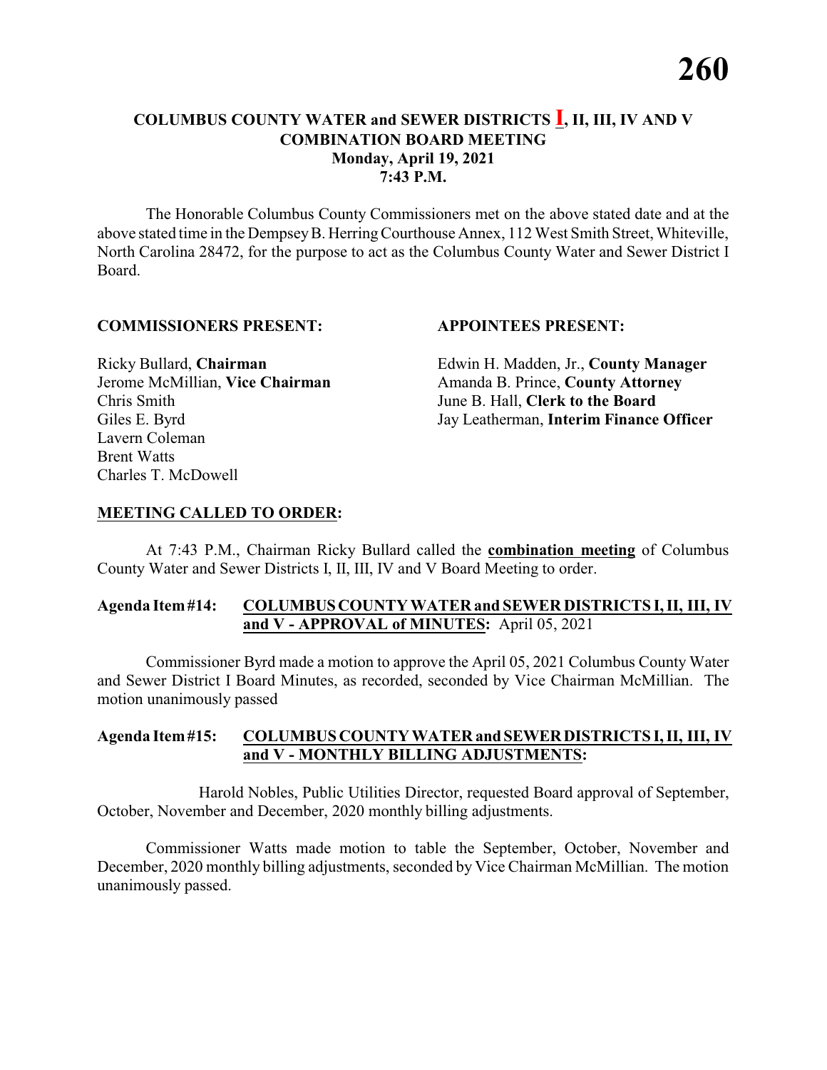# **COLUMBUS COUNTY WATER and SEWER DISTRICTS I, II, III, IV AND V COMBINATION BOARD MEETING Monday, April 19, 2021 7:43 P.M.**

The Honorable Columbus County Commissioners met on the above stated date and at the above stated time in the DempseyB. HerringCourthouse Annex, 112 West Smith Street, Whiteville, North Carolina 28472, for the purpose to act as the Columbus County Water and Sewer District I Board.

#### **COMMISSIONERS PRESENT: APPOINTEES PRESENT:**

Chris Smith June B. Hall, **Clerk to the Board** Lavern Coleman Brent Watts Charles T. McDowell

Ricky Bullard, **Chairman** Edwin H. Madden, Jr., **County Manager** Jerome McMillian, **Vice Chairman** Amanda B. Prince, **County Attorney** Giles E. Byrd Jay Leatherman, **Interim Finance Officer**

## **MEETING CALLED TO ORDER:**

At 7:43 P.M., Chairman Ricky Bullard called the **combination meeting** of Columbus County Water and Sewer Districts I, II, III, IV and V Board Meeting to order.

## **Agenda Item#14: COLUMBUSCOUNTY WATER and SEWER DISTRICTS I, II, III, IV and V - APPROVAL of MINUTES:** April 05, 2021

Commissioner Byrd made a motion to approve the April 05, 2021 Columbus County Water and Sewer District I Board Minutes, as recorded, seconded by Vice Chairman McMillian. The motion unanimously passed

#### **Agenda Item#15: COLUMBUS COUNTY WATER andSEWERDISTRICTS I, II, III, IV and V - MONTHLY BILLING ADJUSTMENTS:**

Harold Nobles, Public Utilities Director, requested Board approval of September, October, November and December, 2020 monthly billing adjustments.

Commissioner Watts made motion to table the September, October, November and December, 2020 monthly billing adjustments, seconded by Vice Chairman McMillian. The motion unanimously passed.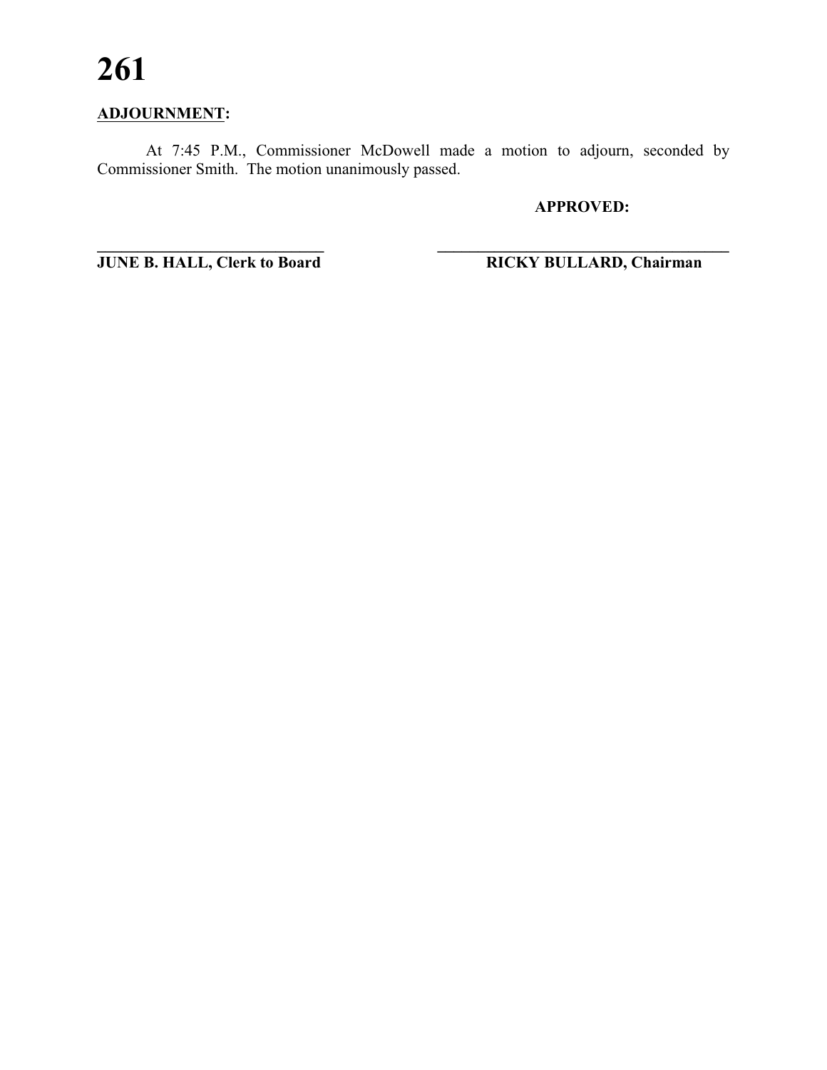# **261**

# **ADJOURNMENT:**

At 7:45 P.M., Commissioner McDowell made a motion to adjourn, seconded by Commissioner Smith. The motion unanimously passed.

**APPROVED:**

**\_\_\_\_\_\_\_\_\_\_\_\_\_\_\_\_\_\_\_\_\_\_\_\_\_\_\_\_ \_\_\_\_\_\_\_\_\_\_\_\_\_\_\_\_\_\_\_\_\_\_\_\_\_\_\_\_\_\_\_\_\_\_\_\_ JUNE B. HALL, Clerk to Board RICKY BULLARD, Chairman**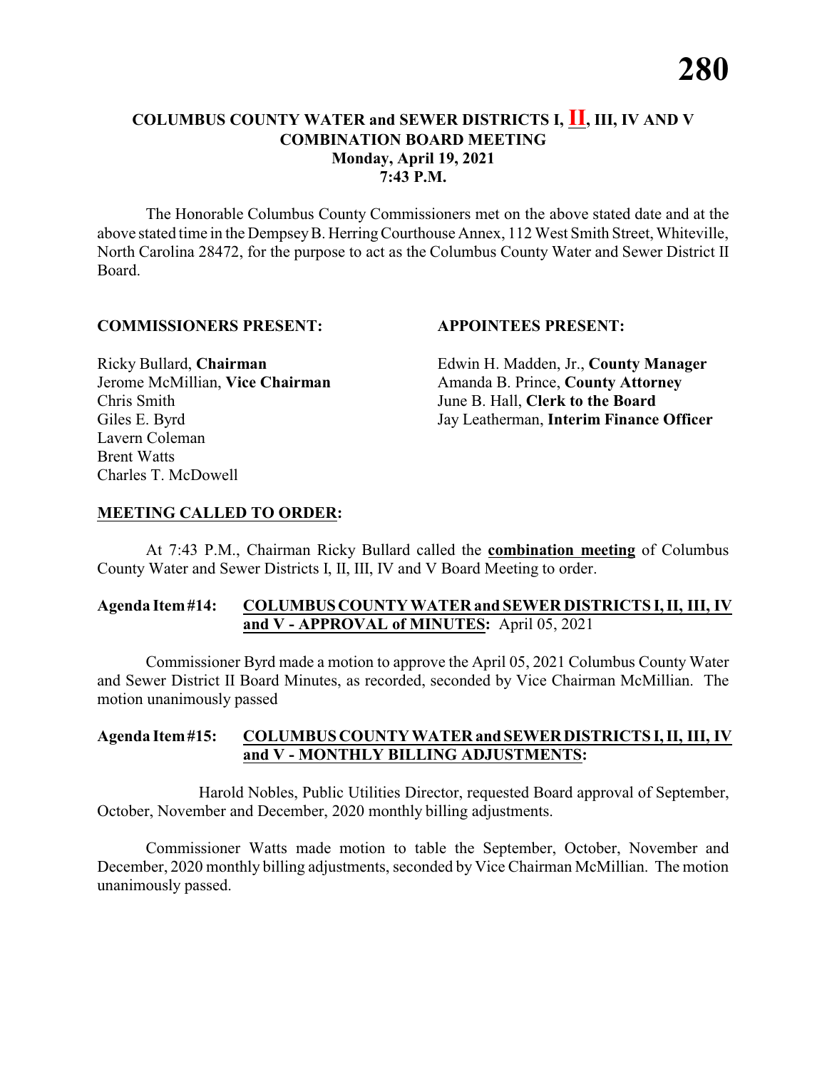# **COLUMBUS COUNTY WATER and SEWER DISTRICTS I, II, III, IV AND V COMBINATION BOARD MEETING Monday, April 19, 2021 7:43 P.M.**

The Honorable Columbus County Commissioners met on the above stated date and at the above stated time in the DempseyB. HerringCourthouse Annex, 112 West Smith Street, Whiteville, North Carolina 28472, for the purpose to act as the Columbus County Water and Sewer District II Board.

#### **COMMISSIONERS PRESENT: APPOINTEES PRESENT:**

Chris Smith June B. Hall, **Clerk to the Board** Lavern Coleman Brent Watts Charles T. McDowell

Ricky Bullard, **Chairman** Edwin H. Madden, Jr., **County Manager** Jerome McMillian, **Vice Chairman** Amanda B. Prince, **County Attorney** Giles E. Byrd Jay Leatherman, **Interim Finance Officer**

## **MEETING CALLED TO ORDER:**

At 7:43 P.M., Chairman Ricky Bullard called the **combination meeting** of Columbus County Water and Sewer Districts I, II, III, IV and V Board Meeting to order.

## **Agenda Item#14: COLUMBUSCOUNTY WATER and SEWER DISTRICTS I, II, III, IV and V - APPROVAL of MINUTES:** April 05, 2021

Commissioner Byrd made a motion to approve the April 05, 2021 Columbus County Water and Sewer District II Board Minutes, as recorded, seconded by Vice Chairman McMillian. The motion unanimously passed

#### **Agenda Item#15: COLUMBUS COUNTY WATER andSEWERDISTRICTS I, II, III, IV and V - MONTHLY BILLING ADJUSTMENTS:**

Harold Nobles, Public Utilities Director, requested Board approval of September, October, November and December, 2020 monthly billing adjustments.

Commissioner Watts made motion to table the September, October, November and December, 2020 monthly billing adjustments, seconded by Vice Chairman McMillian. The motion unanimously passed.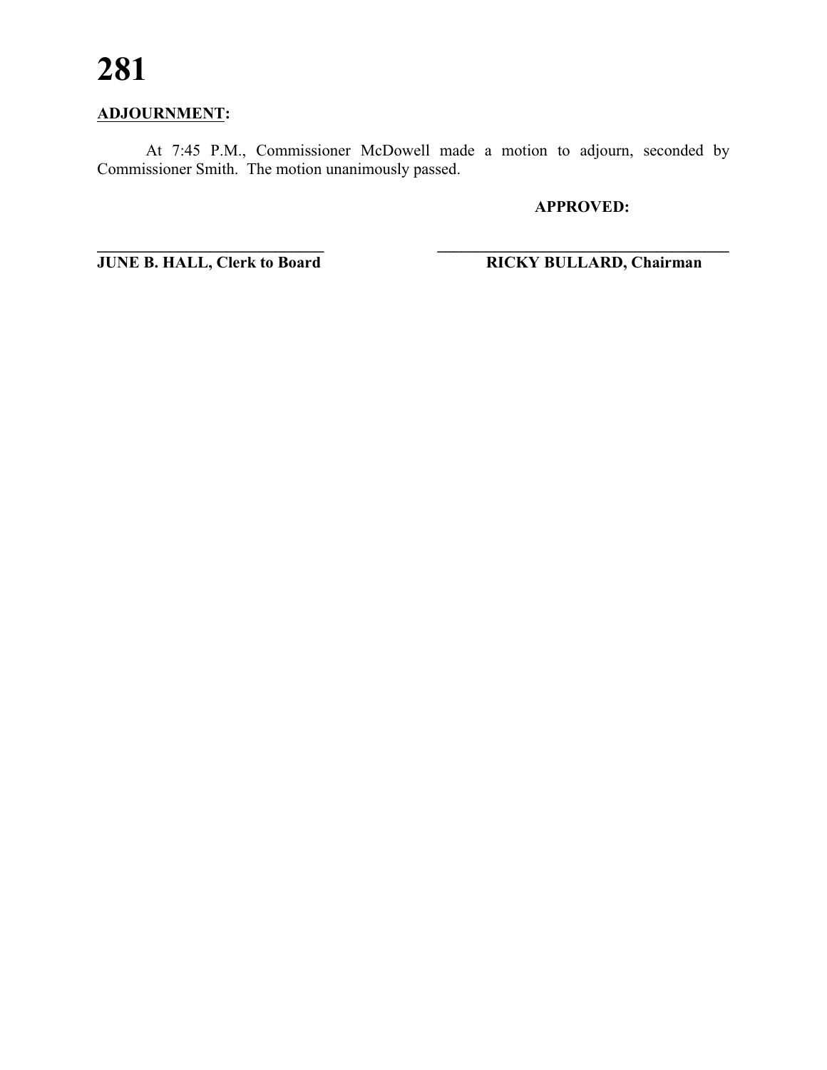# **281**

# **ADJOURNMENT:**

At 7:45 P.M., Commissioner McDowell made a motion to adjourn, seconded by Commissioner Smith. The motion unanimously passed.

# **APPROVED:**

**\_\_\_\_\_\_\_\_\_\_\_\_\_\_\_\_\_\_\_\_\_\_\_\_\_\_\_\_ \_\_\_\_\_\_\_\_\_\_\_\_\_\_\_\_\_\_\_\_\_\_\_\_\_\_\_\_\_\_\_\_\_\_\_\_ JUNE B. HALL, Clerk to Board RICKY BULLARD, Chairman**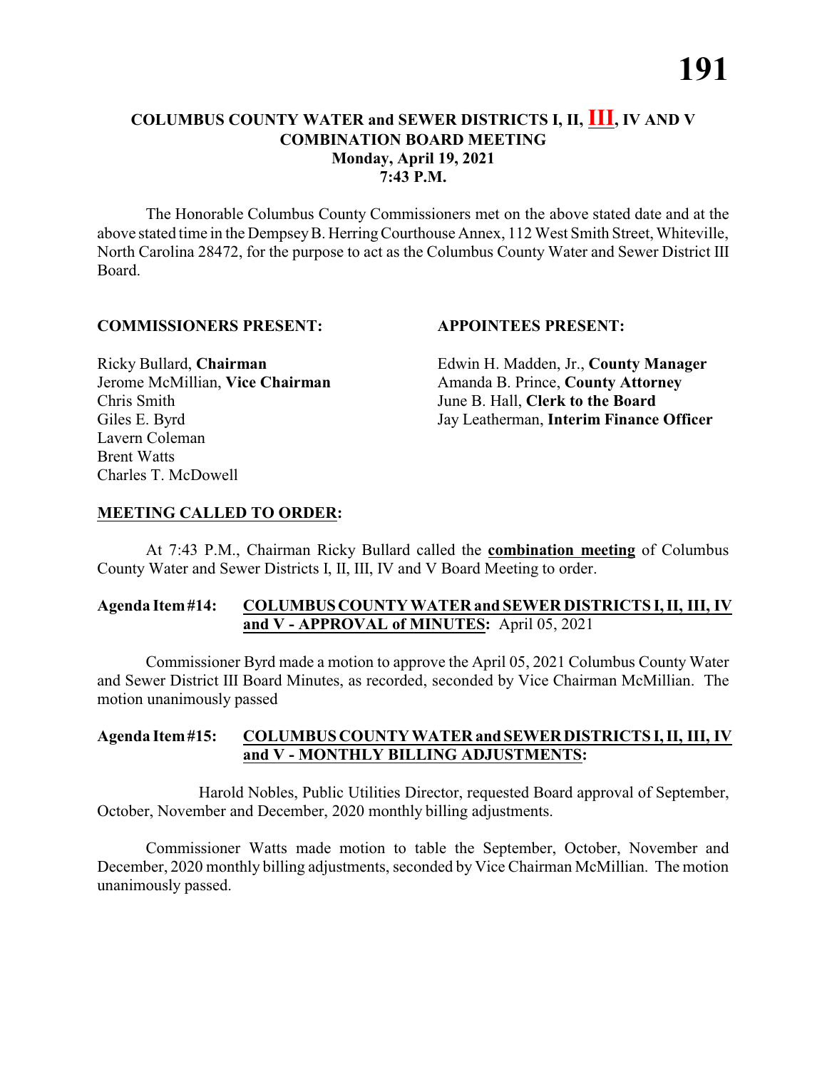# **COLUMBUS COUNTY WATER and SEWER DISTRICTS I, II, III, IV AND V COMBINATION BOARD MEETING Monday, April 19, 2021 7:43 P.M.**

The Honorable Columbus County Commissioners met on the above stated date and at the above stated time in the DempseyB. HerringCourthouse Annex, 112 West Smith Street, Whiteville, North Carolina 28472, for the purpose to act as the Columbus County Water and Sewer District III Board.

## **COMMISSIONERS PRESENT: APPOINTEES PRESENT:**

Chris Smith June B. Hall, **Clerk to the Board** Lavern Coleman Brent Watts Charles T. McDowell

Ricky Bullard, **Chairman** Edwin H. Madden, Jr., **County Manager** Jerome McMillian, **Vice Chairman** Amanda B. Prince, **County Attorney** Giles E. Byrd Jay Leatherman, **Interim Finance Officer**

# **MEETING CALLED TO ORDER:**

At 7:43 P.M., Chairman Ricky Bullard called the **combination meeting** of Columbus County Water and Sewer Districts I, II, III, IV and V Board Meeting to order.

# **Agenda Item#14: COLUMBUSCOUNTY WATER and SEWER DISTRICTS I, II, III, IV and V - APPROVAL of MINUTES:** April 05, 2021

Commissioner Byrd made a motion to approve the April 05, 2021 Columbus County Water and Sewer District III Board Minutes, as recorded, seconded by Vice Chairman McMillian. The motion unanimously passed

## **Agenda Item#15: COLUMBUS COUNTY WATER andSEWERDISTRICTS I, II, III, IV and V - MONTHLY BILLING ADJUSTMENTS:**

Harold Nobles, Public Utilities Director, requested Board approval of September, October, November and December, 2020 monthly billing adjustments.

Commissioner Watts made motion to table the September, October, November and December, 2020 monthly billing adjustments, seconded by Vice Chairman McMillian. The motion unanimously passed.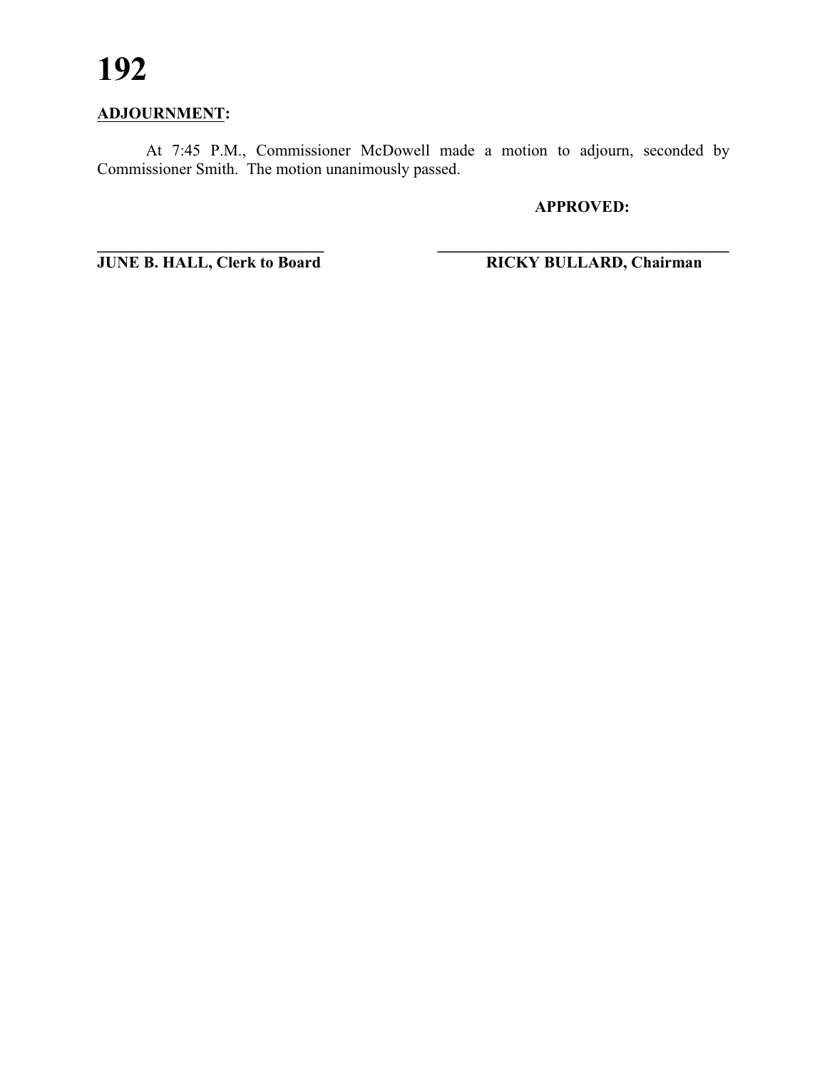# **ADJOURNMENT:**

At 7:45 P.M., Commissioner McDowell made a motion to adjourn, seconded by Commissioner Smith. The motion unanimously passed.

**\_\_\_\_\_\_\_\_\_\_\_\_\_\_\_\_\_\_\_\_\_\_\_\_\_\_\_\_ \_\_\_\_\_\_\_\_\_\_\_\_\_\_\_\_\_\_\_\_\_\_\_\_\_\_\_\_\_\_\_\_\_\_\_\_**

**APPROVED:**

**JUNE B. HALL, Clerk to Board RICKY BULLARD, Chairman**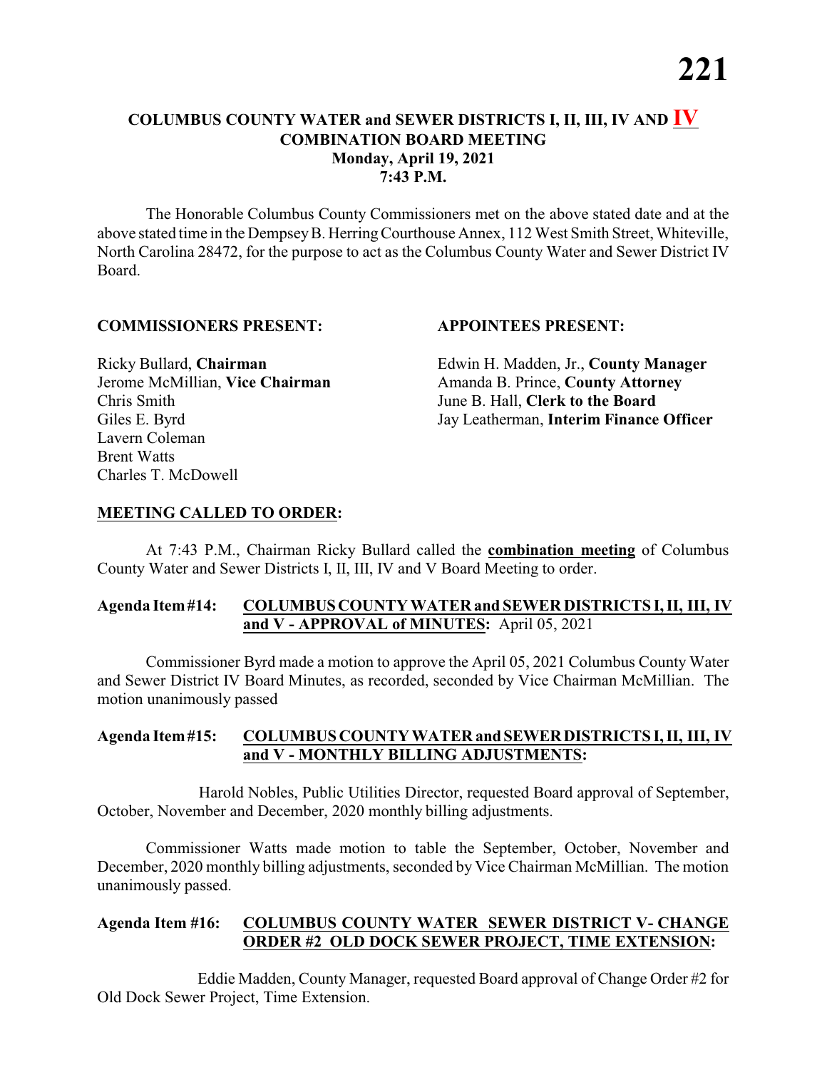# **COLUMBUS COUNTY WATER and SEWER DISTRICTS I, II, III, IV AND IV COMBINATION BOARD MEETING Monday, April 19, 2021 7:43 P.M.**

The Honorable Columbus County Commissioners met on the above stated date and at the above stated time in the DempseyB. HerringCourthouse Annex, 112 West Smith Street, Whiteville, North Carolina 28472, for the purpose to act as the Columbus County Water and Sewer District IV Board.

#### **COMMISSIONERS PRESENT: APPOINTEES PRESENT:**

Chris Smith June B. Hall, **Clerk to the Board** Lavern Coleman Brent Watts Charles T. McDowell

Ricky Bullard, **Chairman** Edwin H. Madden, Jr., **County Manager** Jerome McMillian, **Vice Chairman** Amanda B. Prince, **County Attorney** Giles E. Byrd Jay Leatherman, **Interim Finance Officer**

# **MEETING CALLED TO ORDER:**

At 7:43 P.M., Chairman Ricky Bullard called the **combination meeting** of Columbus County Water and Sewer Districts I, II, III, IV and V Board Meeting to order.

# **Agenda Item#14: COLUMBUSCOUNTY WATER and SEWER DISTRICTS I, II, III, IV and V - APPROVAL of MINUTES:** April 05, 2021

Commissioner Byrd made a motion to approve the April 05, 2021 Columbus County Water and Sewer District IV Board Minutes, as recorded, seconded by Vice Chairman McMillian. The motion unanimously passed

## **Agenda Item#15: COLUMBUS COUNTY WATER andSEWERDISTRICTS I, II, III, IV and V - MONTHLY BILLING ADJUSTMENTS:**

Harold Nobles, Public Utilities Director, requested Board approval of September, October, November and December, 2020 monthly billing adjustments.

Commissioner Watts made motion to table the September, October, November and December, 2020 monthly billing adjustments, seconded by Vice Chairman McMillian. The motion unanimously passed.

## **Agenda Item #16: COLUMBUS COUNTY WATER SEWER DISTRICT V- CHANGE ORDER #2 OLD DOCK SEWER PROJECT, TIME EXTENSION:**

Eddie Madden, County Manager, requested Board approval of Change Order #2 for Old Dock Sewer Project, Time Extension.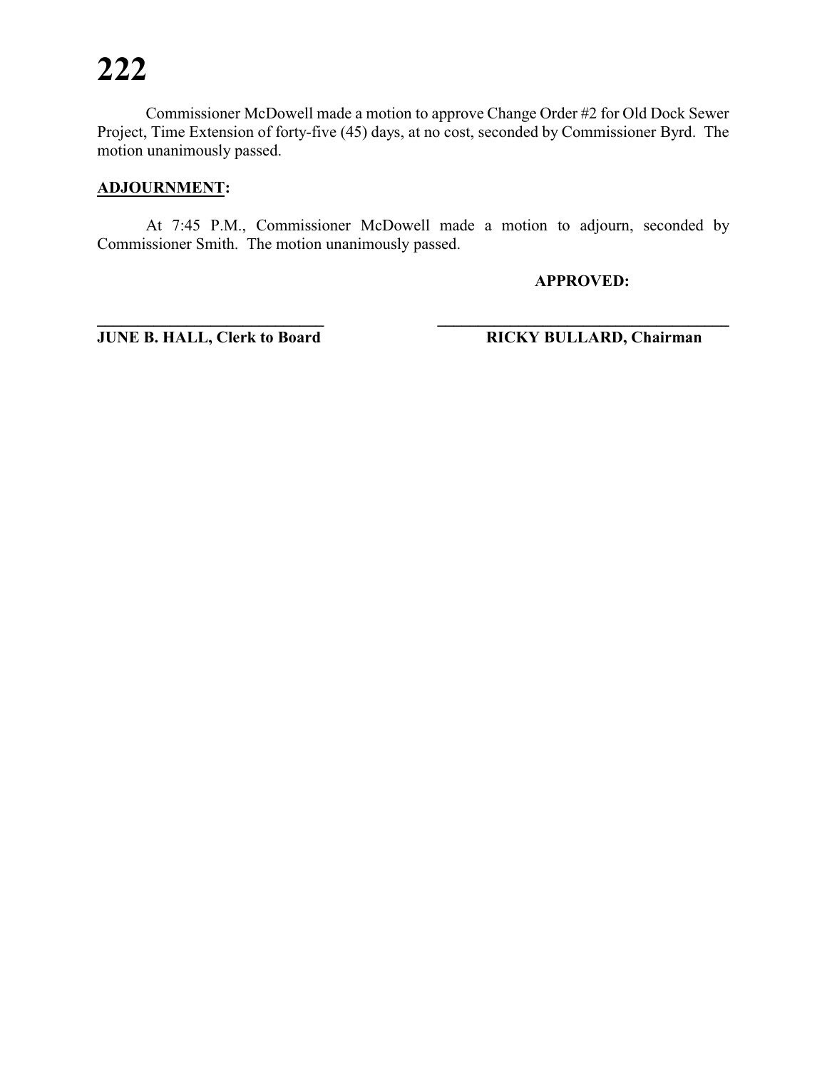Commissioner McDowell made a motion to approve Change Order #2 for Old Dock Sewer Project, Time Extension of forty-five (45) days, at no cost, seconded by Commissioner Byrd. The motion unanimously passed.

# **ADJOURNMENT:**

At 7:45 P.M., Commissioner McDowell made a motion to adjourn, seconded by Commissioner Smith. The motion unanimously passed.

**APPROVED:**

**JUNE B. HALL, Clerk to Board RICKY BULLARD, Chairman**

**\_\_\_\_\_\_\_\_\_\_\_\_\_\_\_\_\_\_\_\_\_\_\_\_\_\_\_\_ \_\_\_\_\_\_\_\_\_\_\_\_\_\_\_\_\_\_\_\_\_\_\_\_\_\_\_\_\_\_\_\_\_\_\_\_**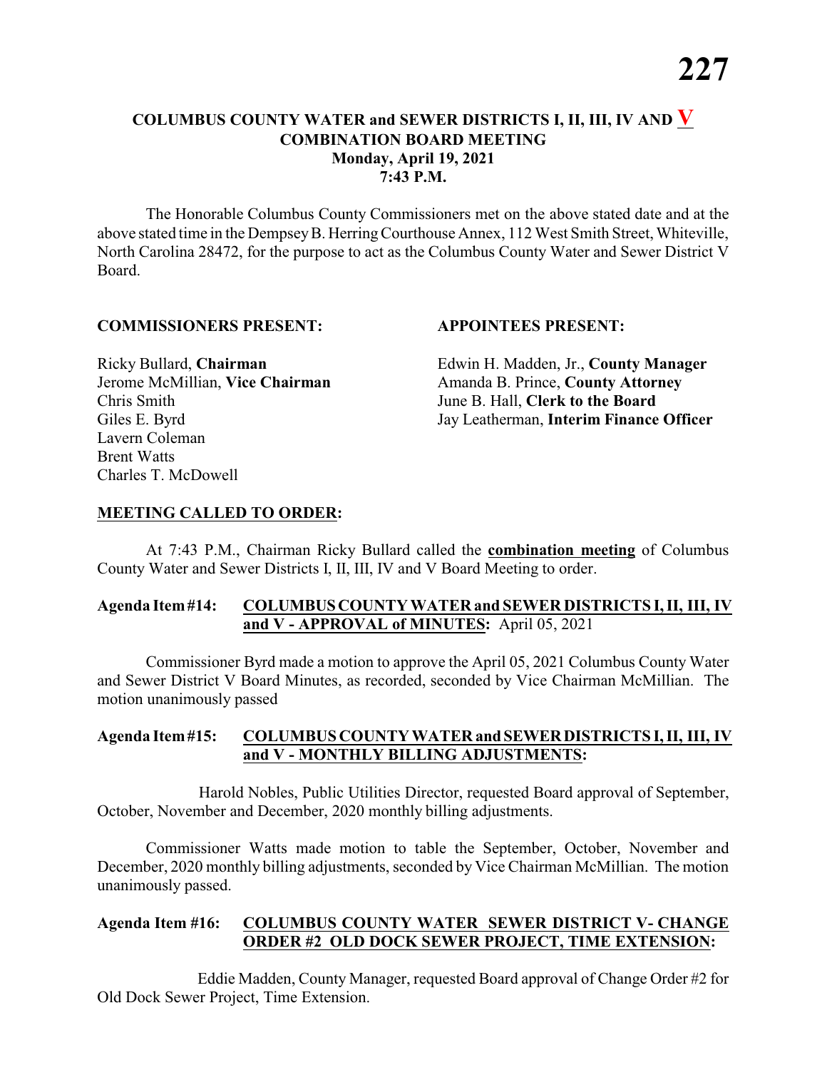# **COLUMBUS COUNTY WATER and SEWER DISTRICTS I, II, III, IV AND V COMBINATION BOARD MEETING Monday, April 19, 2021 7:43 P.M.**

The Honorable Columbus County Commissioners met on the above stated date and at the above stated time in the DempseyB. HerringCourthouse Annex, 112 West Smith Street, Whiteville, North Carolina 28472, for the purpose to act as the Columbus County Water and Sewer District V Board.

#### **COMMISSIONERS PRESENT: APPOINTEES PRESENT:**

Chris Smith June B. Hall, **Clerk to the Board** Lavern Coleman Brent Watts Charles T. McDowell

Ricky Bullard, **Chairman** Edwin H. Madden, Jr., **County Manager** Jerome McMillian, **Vice Chairman** Amanda B. Prince, **County Attorney** Giles E. Byrd Jay Leatherman, **Interim Finance Officer**

## **MEETING CALLED TO ORDER:**

At 7:43 P.M., Chairman Ricky Bullard called the **combination meeting** of Columbus County Water and Sewer Districts I, II, III, IV and V Board Meeting to order.

## **Agenda Item#14: COLUMBUSCOUNTY WATER and SEWER DISTRICTS I, II, III, IV and V - APPROVAL of MINUTES:** April 05, 2021

Commissioner Byrd made a motion to approve the April 05, 2021 Columbus County Water and Sewer District V Board Minutes, as recorded, seconded by Vice Chairman McMillian. The motion unanimously passed

#### **Agenda Item#15: COLUMBUS COUNTY WATER andSEWERDISTRICTS I, II, III, IV and V - MONTHLY BILLING ADJUSTMENTS:**

Harold Nobles, Public Utilities Director, requested Board approval of September, October, November and December, 2020 monthly billing adjustments.

Commissioner Watts made motion to table the September, October, November and December, 2020 monthly billing adjustments, seconded by Vice Chairman McMillian. The motion unanimously passed.

## **Agenda Item #16: COLUMBUS COUNTY WATER SEWER DISTRICT V- CHANGE ORDER #2 OLD DOCK SEWER PROJECT, TIME EXTENSION:**

Eddie Madden, County Manager, requested Board approval of Change Order #2 for Old Dock Sewer Project, Time Extension.